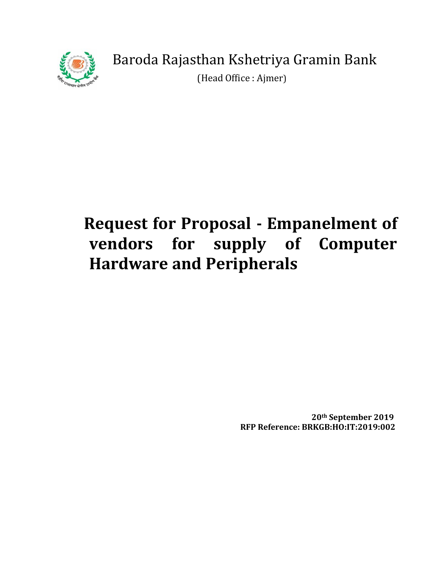

(Head Office : Ajmer)

# **Request for Proposal - Empanelment of vendors for supply of Computer Hardware and Peripherals**

 **20th September 2019 RFP Reference: BRKGB:HO:IT:2019:002**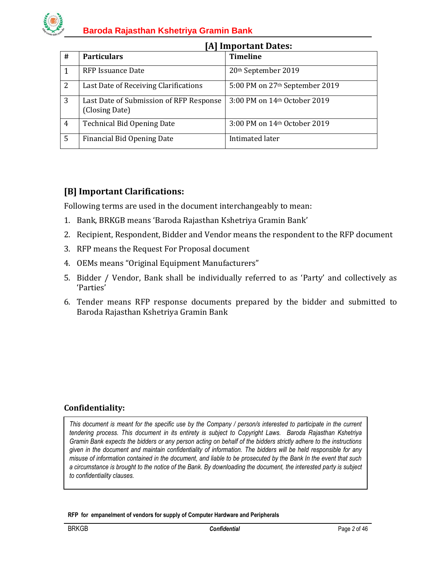

| #              | <b>Particulars</b>                                        | <b>Timeline</b>                            |
|----------------|-----------------------------------------------------------|--------------------------------------------|
|                | RFP Issuance Date                                         | 20th September 2019                        |
| 2              | Last Date of Receiving Clarifications                     | 5:00 PM on 27 <sup>th</sup> September 2019 |
| 3              | Last Date of Submission of RFP Response<br>(Closing Date) | 3:00 PM on 14th October 2019               |
| $\overline{4}$ | <b>Technical Bid Opening Date</b>                         | 3:00 PM on 14th October 2019               |
| 5              | Financial Bid Opening Date                                | Intimated later                            |

#### **[A] Important Dates:**

## **[B] Important Clarifications:**

Following terms are used in the document interchangeably to mean:

- 1. Bank, BRKGB means 'Baroda Rajasthan Kshetriya Gramin Bank'
- 2. Recipient, Respondent, Bidder and Vendor means the respondent to the RFP document
- 3. RFP means the Request For Proposal document
- 4. OEMs means "Original Equipment Manufacturers"
- 5. Bidder / Vendor, Bank shall be individually referred to as 'Party' and collectively as 'Parties'
- 6. Tender means RFP response documents prepared by the bidder and submitted to Baroda Rajasthan Kshetriya Gramin Bank

#### **Confidentiality:**

*This document is meant for the specific use by the Company / person/s interested to participate in the current tendering process. This document in its entirety is subject to Copyright Laws. Baroda Rajasthan Kshetriya Gramin Bank expects the bidders or any person acting on behalf of the bidders strictly adhere to the instructions given in the document and maintain confidentiality of information. The bidders will be held responsible for any misuse of information contained in the document, and liable to be prosecuted by the Bank In the event that such a circumstance is brought to the notice of the Bank. By downloading the document, the interested party is subject to confidentiality clauses.*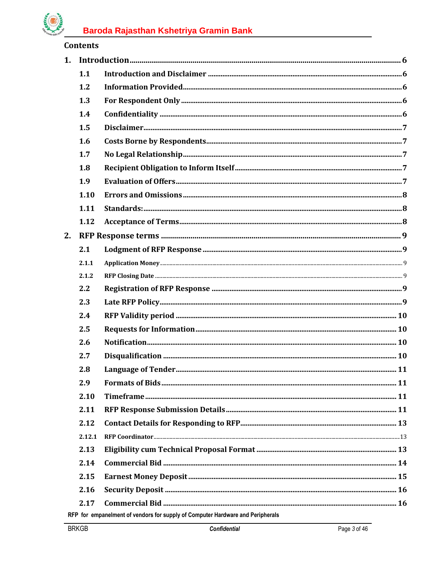# **Killer**

| 1. |        |                                                                                |  |
|----|--------|--------------------------------------------------------------------------------|--|
|    | 1.1    |                                                                                |  |
|    | 1.2    |                                                                                |  |
|    | 1.3    |                                                                                |  |
|    | 1.4    |                                                                                |  |
|    | 1.5    |                                                                                |  |
|    | 1.6    |                                                                                |  |
|    | 1.7    |                                                                                |  |
|    | 1.8    |                                                                                |  |
|    | 1.9    |                                                                                |  |
|    | 1.10   |                                                                                |  |
|    | 1.11   |                                                                                |  |
|    | 1.12   |                                                                                |  |
| 2. |        |                                                                                |  |
|    | 2.1    |                                                                                |  |
|    | 2.1.1  |                                                                                |  |
|    | 2.1.2  |                                                                                |  |
|    | 2.2    |                                                                                |  |
|    | 2.3    |                                                                                |  |
|    | 2.4    |                                                                                |  |
|    | 2.5    |                                                                                |  |
|    | 2.6    |                                                                                |  |
|    | 2.7    |                                                                                |  |
|    | 2.8    |                                                                                |  |
|    | 2.9    |                                                                                |  |
|    | 2.10   |                                                                                |  |
|    | 2.11   |                                                                                |  |
|    | 2.12   |                                                                                |  |
|    | 2.12.1 |                                                                                |  |
|    | 2.13   |                                                                                |  |
|    | 2.14   |                                                                                |  |
|    | 2.15   |                                                                                |  |
|    | 2.16   |                                                                                |  |
|    | 2.17   |                                                                                |  |
|    |        | RFP for empanelment of vendors for supply of Computer Hardware and Peripherals |  |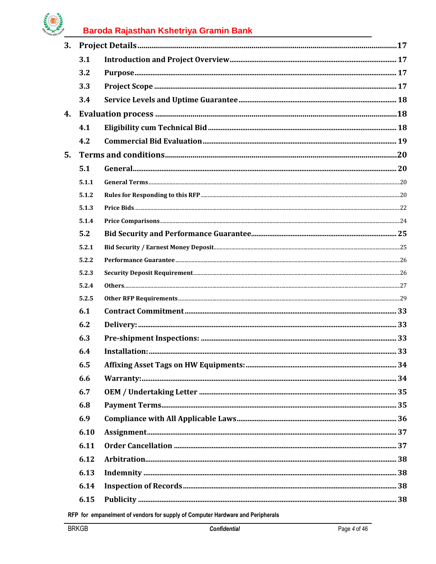# **CARGE BY**

# Baroda Rajasthan Kshetriya Gramin Bank

| 3. |       |  |
|----|-------|--|
|    | 3.1   |  |
|    | 3.2   |  |
|    | 3.3   |  |
|    | 3.4   |  |
| 4. |       |  |
|    | 4.1   |  |
|    | 4.2   |  |
| 5. |       |  |
|    | 5.1   |  |
|    | 5.1.1 |  |
|    | 5.1.2 |  |
|    | 5.1.3 |  |
|    | 5.1.4 |  |
|    | 5.2   |  |
|    | 5.2.1 |  |
|    | 5.2.2 |  |
|    | 5.2.3 |  |
|    | 5.2.4 |  |
|    | 5.2.5 |  |
|    | 6.1   |  |
|    | 6.2   |  |
|    | 6.3   |  |
|    | 6.4   |  |
|    | 6.5   |  |
|    | 6.6   |  |
|    | 6.7   |  |
|    | 6.8   |  |
|    | 6.9   |  |
|    | 6.10  |  |
|    | 6.11  |  |
|    | 6.12  |  |
|    | 6.13  |  |
|    | 6.14  |  |
|    | 6.15  |  |
|    |       |  |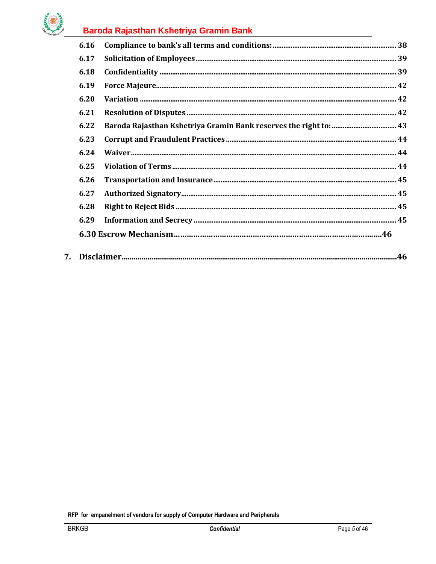

|                                | 6.16 |  |  |  |
|--------------------------------|------|--|--|--|
|                                | 6.17 |  |  |  |
|                                | 6.18 |  |  |  |
|                                | 6.19 |  |  |  |
|                                | 6.20 |  |  |  |
|                                | 6.21 |  |  |  |
|                                | 6.22 |  |  |  |
|                                | 6.23 |  |  |  |
|                                | 6.24 |  |  |  |
|                                | 6.25 |  |  |  |
|                                | 6.26 |  |  |  |
|                                | 6.27 |  |  |  |
|                                | 6.28 |  |  |  |
|                                | 6.29 |  |  |  |
|                                |      |  |  |  |
| $7_{\scriptscriptstyle{\sim}}$ |      |  |  |  |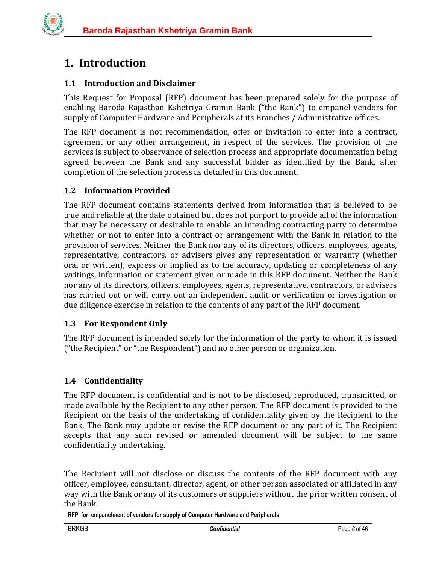

## <span id="page-5-0"></span>**1. Introduction**

## <span id="page-5-1"></span>**1.1 Introduction and Disclaimer**

This Request for Proposal (RFP) document has been prepared solely for the purpose of enabling Baroda Rajasthan Kshetriya Gramin Bank ("the Bank") to empanel vendors for supply of Computer Hardware and Peripherals at its Branches / Administrative offices.

The RFP document is not recommendation, offer or invitation to enter into a contract, agreement or any other arrangement, in respect of the services. The provision of the services is subject to observance of selection process and appropriate documentation being agreed between the Bank and any successful bidder as identified by the Bank, after completion of the selection process as detailed in this document.

## <span id="page-5-2"></span>**1.2 Information Provided**

The RFP document contains statements derived from information that is believed to be true and reliable at the date obtained but does not purport to provide all of the information that may be necessary or desirable to enable an intending contracting party to determine whether or not to enter into a contract or arrangement with the Bank in relation to the provision of services. Neither the Bank nor any of its directors, officers, employees, agents, representative, contractors, or advisers gives any representation or warranty (whether oral or written), express or implied as to the accuracy, updating or completeness of any writings, information or statement given or made in this RFP document. Neither the Bank nor any of its directors, officers, employees, agents, representative, contractors, or advisers has carried out or will carry out an independent audit or verification or investigation or due diligence exercise in relation to the contents of any part of the RFP document.

#### <span id="page-5-3"></span>**1.3 For Respondent Only**

The RFP document is intended solely for the information of the party to whom it is issued ("the Recipient" or "the Respondent") and no other person or organization.

## <span id="page-5-4"></span>**1.4 Confidentiality**

The RFP document is confidential and is not to be disclosed, reproduced, transmitted, or made available by the Recipient to any other person. The RFP document is provided to the Recipient on the basis of the undertaking of confidentiality given by the Recipient to the Bank. The Bank may update or revise the RFP document or any part of it. The Recipient accepts that any such revised or amended document will be subject to the same confidentiality undertaking.

The Recipient will not disclose or discuss the contents of the RFP document with any officer, employee, consultant, director, agent, or other person associated or affiliated in any way with the Bank or any of its customers or suppliers without the prior written consent of the Bank.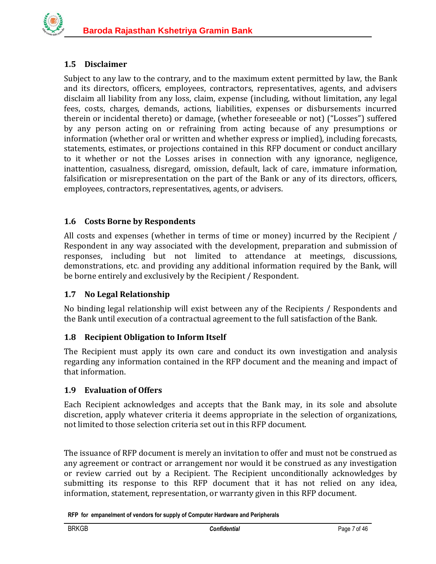## <span id="page-6-0"></span>**1.5 Disclaimer**

Subject to any law to the contrary, and to the maximum extent permitted by law, the Bank and its directors, officers, employees, contractors, representatives, agents, and advisers disclaim all liability from any loss, claim, expense (including, without limitation, any legal fees, costs, charges, demands, actions, liabilities, expenses or disbursements incurred therein or incidental thereto) or damage, (whether foreseeable or not) ("Losses") suffered by any person acting on or refraining from acting because of any presumptions or information (whether oral or written and whether express or implied), including forecasts, statements, estimates, or projections contained in this RFP document or conduct ancillary to it whether or not the Losses arises in connection with any ignorance, negligence, inattention, casualness, disregard, omission, default, lack of care, immature information, falsification or misrepresentation on the part of the Bank or any of its directors, officers, employees, contractors, representatives, agents, or advisers.

## <span id="page-6-1"></span>**1.6 Costs Borne by Respondents**

All costs and expenses (whether in terms of time or money) incurred by the Recipient / Respondent in any way associated with the development, preparation and submission of responses, including but not limited to attendance at meetings, discussions, demonstrations, etc. and providing any additional information required by the Bank, will be borne entirely and exclusively by the Recipient / Respondent.

## <span id="page-6-2"></span>**1.7 No Legal Relationship**

No binding legal relationship will exist between any of the Recipients / Respondents and the Bank until execution of a contractual agreement to the full satisfaction of the Bank.

## <span id="page-6-3"></span>**1.8 Recipient Obligation to Inform Itself**

The Recipient must apply its own care and conduct its own investigation and analysis regarding any information contained in the RFP document and the meaning and impact of that information.

#### <span id="page-6-4"></span>**1.9 Evaluation of Offers**

Each Recipient acknowledges and accepts that the Bank may, in its sole and absolute discretion, apply whatever criteria it deems appropriate in the selection of organizations, not limited to those selection criteria set out in this RFP document.

The issuance of RFP document is merely an invitation to offer and must not be construed as any agreement or contract or arrangement nor would it be construed as any investigation or review carried out by a Recipient. The Recipient unconditionally acknowledges by submitting its response to this RFP document that it has not relied on any idea, information, statement, representation, or warranty given in this RFP document.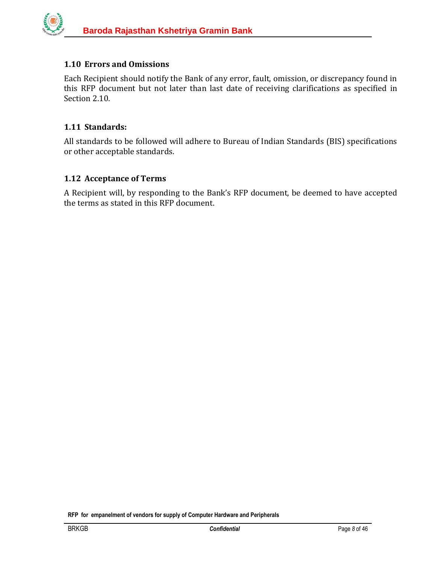## <span id="page-7-0"></span>**1.10 Errors and Omissions**

Each Recipient should notify the Bank of any error, fault, omission, or discrepancy found in this RFP document but not later than last date of receiving clarifications as specified in Section 2.10.

#### <span id="page-7-1"></span>**1.11 Standards:**

All standards to be followed will adhere to Bureau of Indian Standards (BIS) specifications or other acceptable standards.

#### <span id="page-7-2"></span>**1.12 Acceptance of Terms**

A Recipient will, by responding to the Bank's RFP document, be deemed to have accepted the terms as stated in this RFP document.

**RFP for empanelment of vendors for supply of Computer Hardware and Peripherals**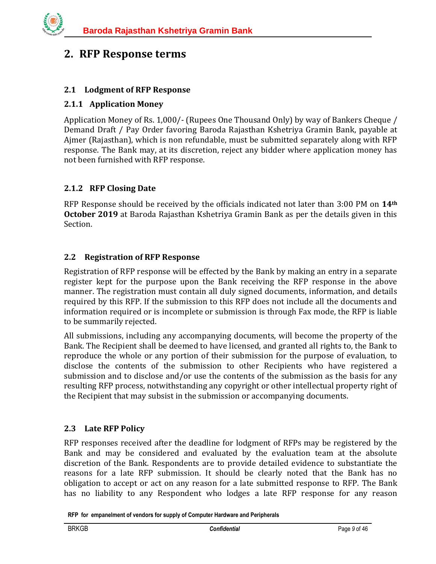## <span id="page-8-0"></span>**2. RFP Response terms**

## <span id="page-8-1"></span>**2.1 Lodgment of RFP Response**

#### <span id="page-8-2"></span>**2.1.1 Application Money**

Application Money of Rs. 1,000/- (Rupees One Thousand Only) by way of Bankers Cheque / Demand Draft / Pay Order favoring Baroda Rajasthan Kshetriya Gramin Bank, payable at Ajmer (Rajasthan), which is non refundable, must be submitted separately along with RFP response. The Bank may, at its discretion, reject any bidder where application money has not been furnished with RFP response.

#### <span id="page-8-3"></span>**2.1.2 RFP Closing Date**

RFP Response should be received by the officials indicated not later than 3:00 PM on **14th October 2019** at Baroda Rajasthan Kshetriya Gramin Bank as per the details given in this Section.

#### <span id="page-8-4"></span>**2.2 Registration of RFP Response**

Registration of RFP response will be effected by the Bank by making an entry in a separate register kept for the purpose upon the Bank receiving the RFP response in the above manner. The registration must contain all duly signed documents, information, and details required by this RFP. If the submission to this RFP does not include all the documents and information required or is incomplete or submission is through Fax mode, the RFP is liable to be summarily rejected.

All submissions, including any accompanying documents, will become the property of the Bank. The Recipient shall be deemed to have licensed, and granted all rights to, the Bank to reproduce the whole or any portion of their submission for the purpose of evaluation, to disclose the contents of the submission to other Recipients who have registered a submission and to disclose and/or use the contents of the submission as the basis for any resulting RFP process, notwithstanding any copyright or other intellectual property right of the Recipient that may subsist in the submission or accompanying documents.

#### <span id="page-8-5"></span>**2.3 Late RFP Policy**

RFP responses received after the deadline for lodgment of RFPs may be registered by the Bank and may be considered and evaluated by the evaluation team at the absolute discretion of the Bank. Respondents are to provide detailed evidence to substantiate the reasons for a late RFP submission. It should be clearly noted that the Bank has no obligation to accept or act on any reason for a late submitted response to RFP. The Bank has no liability to any Respondent who lodges a late RFP response for any reason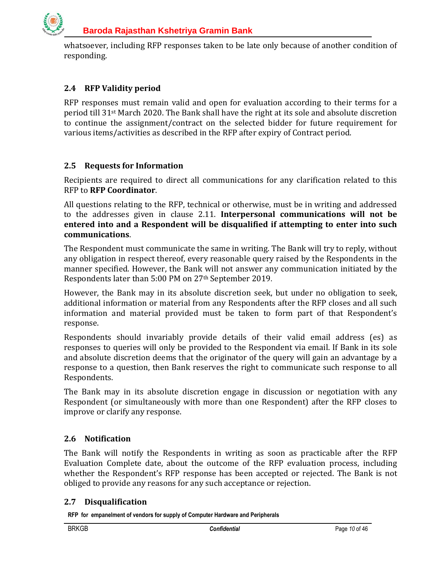

whatsoever, including RFP responses taken to be late only because of another condition of responding.

## <span id="page-9-0"></span>**2.4 RFP Validity period**

RFP responses must remain valid and open for evaluation according to their terms for a period till 31st March 2020. The Bank shall have the right at its sole and absolute discretion to continue the assignment/contract on the selected bidder for future requirement for various items/activities as described in the RFP after expiry of Contract period.

## <span id="page-9-1"></span>**2.5 Requests for Information**

Recipients are required to direct all communications for any clarification related to this RFP to **RFP Coordinator**.

All questions relating to the RFP, technical or otherwise, must be in writing and addressed to the addresses given in clause 2.11. **Interpersonal communications will not be entered into and a Respondent will be disqualified if attempting to enter into such communications**.

The Respondent must communicate the same in writing. The Bank will try to reply, without any obligation in respect thereof, every reasonable query raised by the Respondents in the manner specified. However, the Bank will not answer any communication initiated by the Respondents later than 5:00 PM on 27th September 2019.

However, the Bank may in its absolute discretion seek, but under no obligation to seek, additional information or material from any Respondents after the RFP closes and all such information and material provided must be taken to form part of that Respondent's response.

Respondents should invariably provide details of their valid email address (es) as responses to queries will only be provided to the Respondent via email. If Bank in its sole and absolute discretion deems that the originator of the query will gain an advantage by a response to a question, then Bank reserves the right to communicate such response to all Respondents.

The Bank may in its absolute discretion engage in discussion or negotiation with any Respondent (or simultaneously with more than one Respondent) after the RFP closes to improve or clarify any response.

## <span id="page-9-2"></span>**2.6 Notification**

The Bank will notify the Respondents in writing as soon as practicable after the RFP Evaluation Complete date, about the outcome of the RFP evaluation process, including whether the Respondent's RFP response has been accepted or rejected. The Bank is not obliged to provide any reasons for any such acceptance or rejection.

#### <span id="page-9-3"></span>**2.7 Disqualification**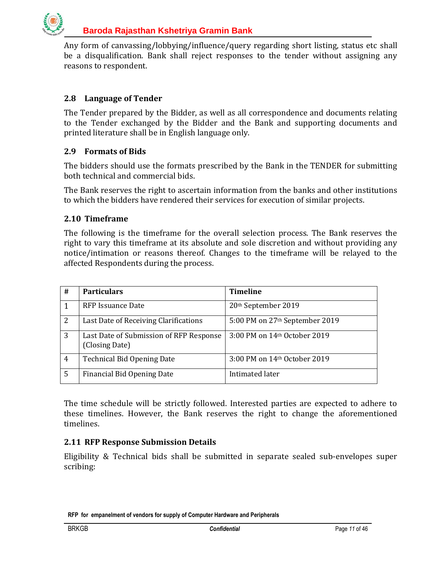

Any form of canvassing/lobbying/influence/query regarding short listing, status etc shall be a disqualification. Bank shall reject responses to the tender without assigning any reasons to respondent.

## <span id="page-10-0"></span>**2.8 Language of Tender**

The Tender prepared by the Bidder, as well as all correspondence and documents relating to the Tender exchanged by the Bidder and the Bank and supporting documents and printed literature shall be in English language only.

#### <span id="page-10-1"></span>**2.9 Formats of Bids**

The bidders should use the formats prescribed by the Bank in the TENDER for submitting both technical and commercial bids.

The Bank reserves the right to ascertain information from the banks and other institutions to which the bidders have rendered their services for execution of similar projects.

#### <span id="page-10-2"></span>**2.10 Timeframe**

The following is the timeframe for the overall selection process. The Bank reserves the right to vary this timeframe at its absolute and sole discretion and without providing any notice/intimation or reasons thereof. Changes to the timeframe will be relayed to the affected Respondents during the process.

| #              | <b>Particulars</b>                                        | <b>Timeline</b>                            |
|----------------|-----------------------------------------------------------|--------------------------------------------|
|                | RFP Issuance Date                                         | 20th September 2019                        |
| 2              | Last Date of Receiving Clarifications                     | 5:00 PM on 27 <sup>th</sup> September 2019 |
| 3              | Last Date of Submission of RFP Response<br>(Closing Date) | 3:00 PM on 14th October 2019               |
| $\overline{4}$ | <b>Technical Bid Opening Date</b>                         | 3:00 PM on 14th October 2019               |
| -5             | Financial Bid Opening Date                                | Intimated later                            |

The time schedule will be strictly followed. Interested parties are expected to adhere to these timelines. However, the Bank reserves the right to change the aforementioned timelines.

#### <span id="page-10-3"></span>**2.11 RFP Response Submission Details**

Eligibility & Technical bids shall be submitted in separate sealed sub-envelopes super scribing: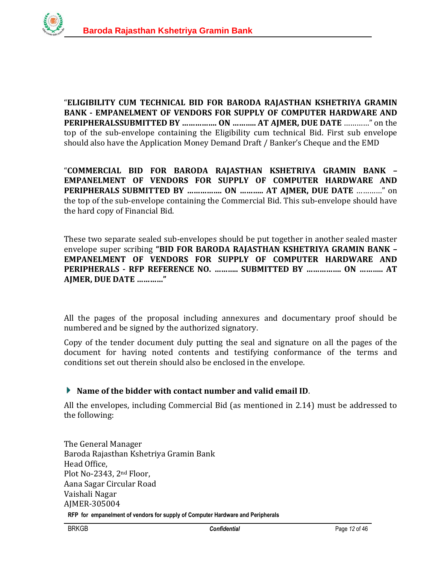

"**ELIGIBILITY CUM TECHNICAL BID FOR BARODA RAJASTHAN KSHETRIYA GRAMIN BANK - EMPANELMENT OF VENDORS FOR SUPPLY OF COMPUTER HARDWARE AND PERIPHERALSSUBMITTED BY ……………. ON ……….. AT AJMER, DUE DATE** …………" on the top of the sub-envelope containing the Eligibility cum technical Bid. First sub envelope should also have the Application Money Demand Draft / Banker's Cheque and the EMD

"**COMMERCIAL BID FOR BARODA RAJASTHAN KSHETRIYA GRAMIN BANK – EMPANELMENT OF VENDORS FOR SUPPLY OF COMPUTER HARDWARE AND PERIPHERALS SUBMITTED BY ……………. ON ……….. AT AJMER, DUE DATE** …………" on the top of the sub-envelope containing the Commercial Bid. This sub-envelope should have the hard copy of Financial Bid.

These two separate sealed sub-envelopes should be put together in another sealed master envelope super scribing **"BID FOR BARODA RAJASTHAN KSHETRIYA GRAMIN BANK – EMPANELMENT OF VENDORS FOR SUPPLY OF COMPUTER HARDWARE AND PERIPHERALS - RFP REFERENCE NO. ……….. SUBMITTED BY ……………. ON ……….. AT AJMER, DUE DATE …………"** 

All the pages of the proposal including annexures and documentary proof should be numbered and be signed by the authorized signatory.

Copy of the tender document duly putting the seal and signature on all the pages of the document for having noted contents and testifying conformance of the terms and conditions set out therein should also be enclosed in the envelope.

## **Name of the bidder with contact number and valid email ID**.

All the envelopes, including Commercial Bid (as mentioned in 2.14) must be addressed to the following:

**RFP for empanelment of vendors for supply of Computer Hardware and Peripherals**  The General Manager Baroda Rajasthan Kshetriya Gramin Bank Head Office, Plot No-2343, 2nd Floor, Aana Sagar Circular Road Vaishali Nagar AJMER-305004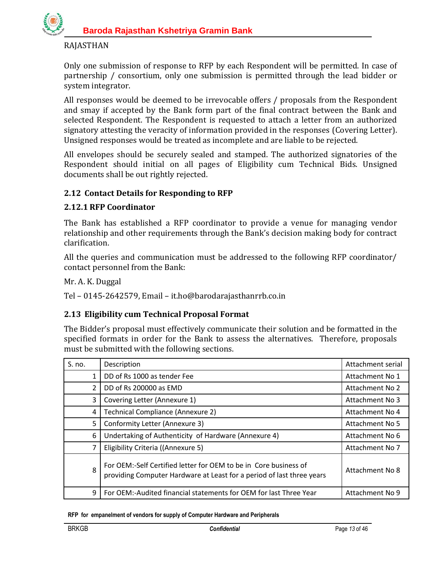

#### RAJASTHAN

Only one submission of response to RFP by each Respondent will be permitted. In case of partnership / consortium, only one submission is permitted through the lead bidder or system integrator.

All responses would be deemed to be irrevocable offers / proposals from the Respondent and smay if accepted by the Bank form part of the final contract between the Bank and selected Respondent. The Respondent is requested to attach a letter from an authorized signatory attesting the veracity of information provided in the responses (Covering Letter). Unsigned responses would be treated as incomplete and are liable to be rejected.

All envelopes should be securely sealed and stamped. The authorized signatories of the Respondent should initial on all pages of Eligibility cum Technical Bids. Unsigned documents shall be out rightly rejected.

#### <span id="page-12-0"></span>**2.12 Contact Details for Responding to RFP**

#### <span id="page-12-1"></span>**2.12.1 RFP Coordinator**

The Bank has established a RFP coordinator to provide a venue for managing vendor relationship and other requirements through the Bank's decision making body for contract clarification.

All the queries and communication must be addressed to the following RFP coordinator/ contact personnel from the Bank:

Mr. A. K. Duggal

Tel – 0145-2642579, Email – it.ho@barodarajasthanrrb.co.in

#### <span id="page-12-2"></span>**2.13 Eligibility cum Technical Proposal Format**

The Bidder's proposal must effectively communicate their solution and be formatted in the specified formats in order for the Bank to assess the alternatives. Therefore, proposals must be submitted with the following sections.

| S. no. | Description                                                                                                                               | Attachment serial |
|--------|-------------------------------------------------------------------------------------------------------------------------------------------|-------------------|
| 1      | DD of Rs 1000 as tender Fee                                                                                                               | Attachment No 1   |
| 2      | DD of Rs 200000 as EMD                                                                                                                    | Attachment No 2   |
| 3      | Covering Letter (Annexure 1)                                                                                                              | Attachment No 3   |
| 4      | Technical Compliance (Annexure 2)                                                                                                         | Attachment No 4   |
| 5      | Conformity Letter (Annexure 3)                                                                                                            | Attachment No 5   |
| 6      | Undertaking of Authenticity of Hardware (Annexure 4)                                                                                      | Attachment No 6   |
| 7      | Eligibility Criteria ((Annexure 5)                                                                                                        | Attachment No 7   |
| 8      | For OEM:-Self Certified letter for OEM to be in Core business of<br>providing Computer Hardware at Least for a period of last three years | Attachment No 8   |
| 9      | For OEM:-Audited financial statements for OEM for last Three Year                                                                         | Attachment No 9   |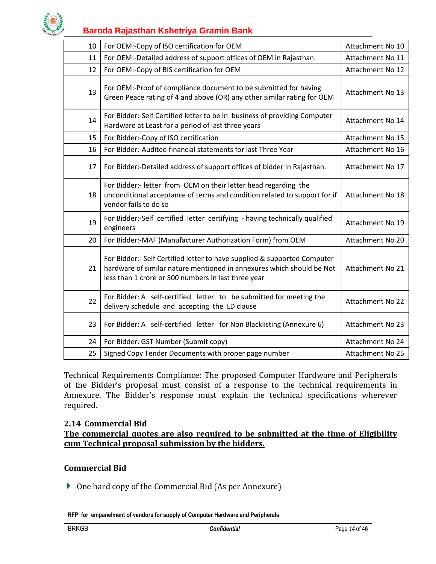

| 10 | For OEM:-Copy of ISO certification for OEM                                                                                                                                                               | Attachment No 10        |
|----|----------------------------------------------------------------------------------------------------------------------------------------------------------------------------------------------------------|-------------------------|
| 11 | For OEM:-Detailed address of support offices of OEM in Rajasthan.                                                                                                                                        | Attachment No 11        |
| 12 | For OEM:-Copy of BIS certification for OEM                                                                                                                                                               | Attachment No 12        |
| 13 | For OEM:-Proof of compliance document to be submitted for having<br>Green Peace rating of 4 and above (OR) any other similar rating for OEM                                                              | Attachment No 13        |
| 14 | For Bidder:-Self Certified letter to be in business of providing Computer<br>Hardware at Least for a period of last three years                                                                          | Attachment No 14        |
| 15 | For Bidder:-Copy of ISO certification                                                                                                                                                                    | Attachment No 15        |
| 16 | For Bidder:-Audited financial statements for last Three Year                                                                                                                                             | Attachment No 16        |
| 17 | For Bidder:-Detailed address of support offices of bidder in Rajasthan.                                                                                                                                  | Attachment No 17        |
| 18 | For Bidder:- letter from OEM on their letter head regarding the<br>unconditional acceptance of terms and condition related to support for if<br>vendor fails to do so                                    | Attachment No 18        |
| 19 | For Bidder:-Self certified letter certifying - having technically qualified<br>engineers                                                                                                                 | Attachment No 19        |
| 20 | For Bidder:-MAF (Manufacturer Authorization Form) from OEM                                                                                                                                               | Attachment No 20        |
| 21 | For Bidder:- Self Certified letter to have supplied & supported Computer<br>hardware of similar nature mentioned in annexures which should be Not<br>less than 1 crore or 500 numbers in last three year | Attachment No 21        |
| 22 | For Bidder: A self-certified letter to be submitted for meeting the<br>delivery schedule and accepting the LD clause                                                                                     | <b>Attachment No 22</b> |
| 23 | For Bidder: A self-certified letter for Non Blacklisting (Annexure 6)                                                                                                                                    | <b>Attachment No 23</b> |
| 24 | For Bidder: GST Number (Submit copy)                                                                                                                                                                     | Attachment No 24        |
| 25 | Signed Copy Tender Documents with proper page number                                                                                                                                                     | Attachment No 25        |

Technical Requirements Compliance: The proposed Computer Hardware and Peripherals of the Bidder's proposal must consist of a response to the technical requirements in Annexure. The Bidder's response must explain the technical specifications wherever required.

#### <span id="page-13-0"></span>**2.14 Commercial Bid**

**The commercial quotes are also required to be submitted at the time of Eligibility cum Technical proposal submission by the bidders.** 

#### **Commercial Bid**

One hard copy of the Commercial Bid (As per Annexure)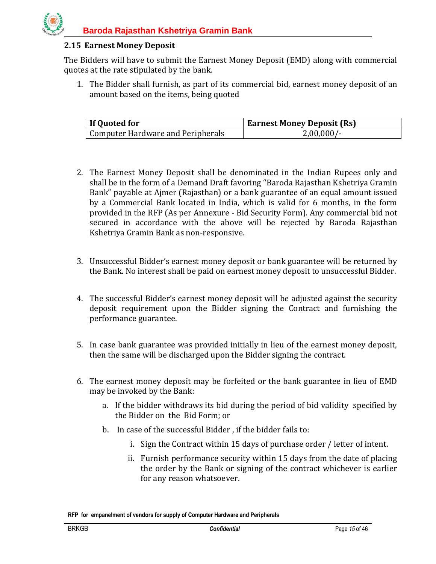

#### <span id="page-14-0"></span>**2.15 Earnest Money Deposit**

The Bidders will have to submit the Earnest Money Deposit (EMD) along with commercial quotes at the rate stipulated by the bank.

1. The Bidder shall furnish, as part of its commercial bid, earnest money deposit of an amount based on the items, being quoted

| If Quoted for                     | <b>Earnest Money Deposit (Rs)</b> |
|-----------------------------------|-----------------------------------|
| Computer Hardware and Peripherals | $2,00,000/-$                      |

- 2. The Earnest Money Deposit shall be denominated in the Indian Rupees only and shall be in the form of a Demand Draft favoring "Baroda Rajasthan Kshetriya Gramin Bank" payable at Ajmer (Rajasthan) or a bank guarantee of an equal amount issued by a Commercial Bank located in India, which is valid for 6 months, in the form provided in the RFP (As per Annexure - Bid Security Form). Any commercial bid not secured in accordance with the above will be rejected by Baroda Rajasthan Kshetriya Gramin Bank as non-responsive.
- 3. Unsuccessful Bidder's earnest money deposit or bank guarantee will be returned by the Bank. No interest shall be paid on earnest money deposit to unsuccessful Bidder.
- 4. The successful Bidder's earnest money deposit will be adjusted against the security deposit requirement upon the Bidder signing the Contract and furnishing the performance guarantee.
- 5. In case bank guarantee was provided initially in lieu of the earnest money deposit, then the same will be discharged upon the Bidder signing the contract.
- 6. The earnest money deposit may be forfeited or the bank guarantee in lieu of EMD may be invoked by the Bank:
	- a. If the bidder withdraws its bid during the period of bid validity specified by the Bidder on the Bid Form; or
	- b. In case of the successful Bidder , if the bidder fails to:
		- i. Sign the Contract within 15 days of purchase order / letter of intent.
		- ii. Furnish performance security within 15 days from the date of placing the order by the Bank or signing of the contract whichever is earlier for any reason whatsoever.

**RFP for empanelment of vendors for supply of Computer Hardware and Peripherals**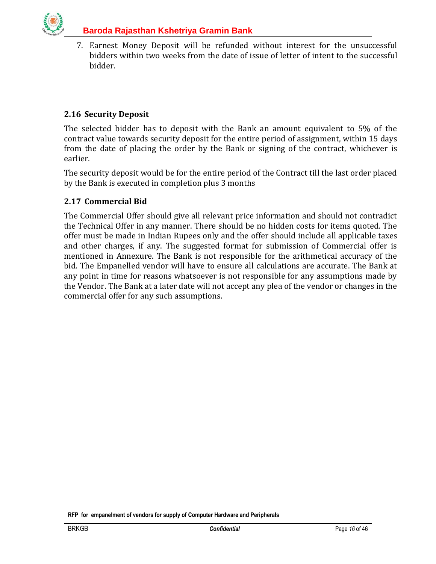

7. Earnest Money Deposit will be refunded without interest for the unsuccessful bidders within two weeks from the date of issue of letter of intent to the successful bidder.

## <span id="page-15-0"></span>**2.16 Security Deposit**

The selected bidder has to deposit with the Bank an amount equivalent to 5% of the contract value towards security deposit for the entire period of assignment, within 15 days from the date of placing the order by the Bank or signing of the contract, whichever is earlier.

The security deposit would be for the entire period of the Contract till the last order placed by the Bank is executed in completion plus 3 months

#### <span id="page-15-1"></span>**2.17 Commercial Bid**

The Commercial Offer should give all relevant price information and should not contradict the Technical Offer in any manner. There should be no hidden costs for items quoted. The offer must be made in Indian Rupees only and the offer should include all applicable taxes and other charges, if any. The suggested format for submission of Commercial offer is mentioned in Annexure. The Bank is not responsible for the arithmetical accuracy of the bid. The Empanelled vendor will have to ensure all calculations are accurate. The Bank at any point in time for reasons whatsoever is not responsible for any assumptions made by the Vendor. The Bank at a later date will not accept any plea of the vendor or changes in the commercial offer for any such assumptions.

**RFP for empanelment of vendors for supply of Computer Hardware and Peripherals**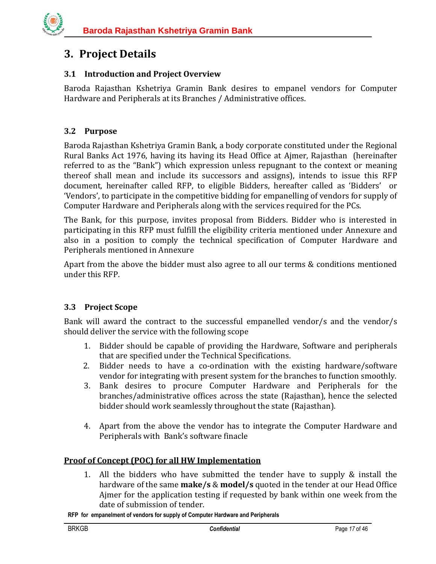# <span id="page-16-0"></span>**3. Project Details**

## <span id="page-16-1"></span>**3.1 Introduction and Project Overview**

Baroda Rajasthan Kshetriya Gramin Bank desires to empanel vendors for Computer Hardware and Peripherals at its Branches / Administrative offices.

## <span id="page-16-2"></span>**3.2 Purpose**

Baroda Rajasthan Kshetriya Gramin Bank, a body corporate constituted under the Regional Rural Banks Act 1976, having its having its Head Office at Ajmer, Rajasthan (hereinafter referred to as the "Bank") which expression unless repugnant to the context or meaning thereof shall mean and include its successors and assigns), intends to issue this RFP document, hereinafter called RFP, to eligible Bidders, hereafter called as 'Bidders' or 'Vendors', to participate in the competitive bidding for empanelling of vendors for supply of Computer Hardware and Peripherals along with the services required for the PCs.

The Bank, for this purpose, invites proposal from Bidders. Bidder who is interested in participating in this RFP must fulfill the eligibility criteria mentioned under Annexure and also in a position to comply the technical specification of Computer Hardware and Peripherals mentioned in Annexure

Apart from the above the bidder must also agree to all our terms & conditions mentioned under this RFP.

## <span id="page-16-3"></span>**3.3 Project Scope**

Bank will award the contract to the successful empanelled vendor/s and the vendor/s should deliver the service with the following scope

- 1. Bidder should be capable of providing the Hardware, Software and peripherals that are specified under the Technical Specifications.
- 2. Bidder needs to have a co-ordination with the existing hardware/software vendor for integrating with present system for the branches to function smoothly.
- 3. Bank desires to procure Computer Hardware and Peripherals for the branches/administrative offices across the state (Rajasthan), hence the selected bidder should work seamlessly throughout the state (Rajasthan).
- 4. Apart from the above the vendor has to integrate the Computer Hardware and Peripherals with Bank's software finacle

## **Proof of Concept (POC) for all HW Implementation**

1. All the bidders who have submitted the tender have to supply & install the hardware of the same **make/s** & **model/s** quoted in the tender at our Head Office Ajmer for the application testing if requested by bank within one week from the date of submission of tender.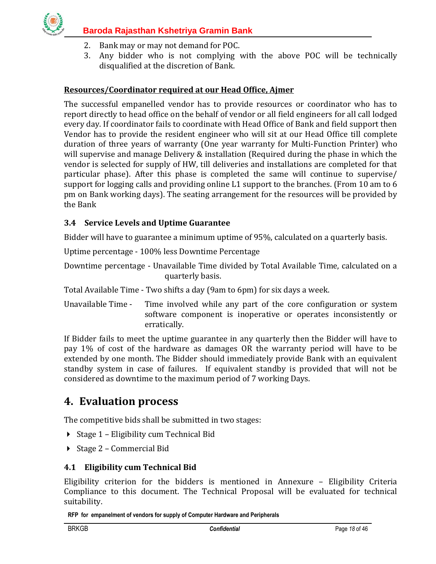

- 2. Bank may or may not demand for POC.
- 3. Any bidder who is not complying with the above POC will be technically disqualified at the discretion of Bank.

## **Resources/Coordinator required at our Head Office, Ajmer**

The successful empanelled vendor has to provide resources or coordinator who has to report directly to head office on the behalf of vendor or all field engineers for all call lodged every day. If coordinator fails to coordinate with Head Office of Bank and field support then Vendor has to provide the resident engineer who will sit at our Head Office till complete duration of three years of warranty (One year warranty for Multi-Function Printer) who will supervise and manage Delivery & installation (Required during the phase in which the vendor is selected for supply of HW, till deliveries and installations are completed for that particular phase). After this phase is completed the same will continue to supervise/ support for logging calls and providing online L1 support to the branches. (From 10 am to 6 pm on Bank working days). The seating arrangement for the resources will be provided by the Bank

## <span id="page-17-0"></span>**3.4 Service Levels and Uptime Guarantee**

Bidder will have to guarantee a minimum uptime of 95%, calculated on a quarterly basis.

Uptime percentage - 100% less Downtime Percentage

Downtime percentage - Unavailable Time divided by Total Available Time, calculated on a quarterly basis.

Total Available Time - Two shifts a day (9am to 6pm) for six days a week.

Unavailable Time - Time involved while any part of the core configuration or system software component is inoperative or operates inconsistently or erratically.

If Bidder fails to meet the uptime guarantee in any quarterly then the Bidder will have to pay 1% of cost of the hardware as damages OR the warranty period will have to be extended by one month. The Bidder should immediately provide Bank with an equivalent standby system in case of failures. If equivalent standby is provided that will not be considered as downtime to the maximum period of 7 working Days.

## <span id="page-17-1"></span>**4. Evaluation process**

The competitive bids shall be submitted in two stages:

- ▶ Stage 1 Eligibility cum Technical Bid
- $\triangleright$  Stage 2 Commercial Bid

#### <span id="page-17-2"></span>**4.1 Eligibility cum Technical Bid**

Eligibility criterion for the bidders is mentioned in Annexure – Eligibility Criteria Compliance to this document. The Technical Proposal will be evaluated for technical suitability.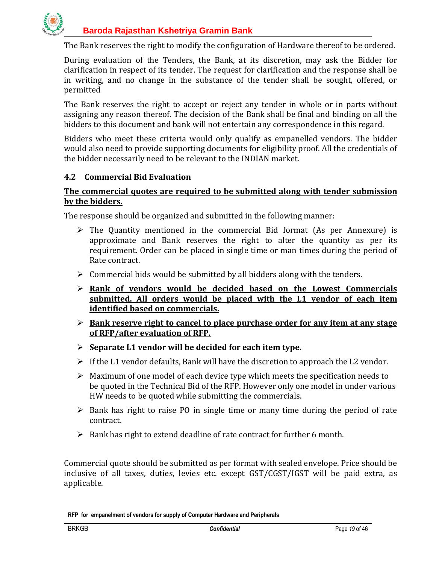

The Bank reserves the right to modify the configuration of Hardware thereof to be ordered.

During evaluation of the Tenders, the Bank, at its discretion, may ask the Bidder for clarification in respect of its tender. The request for clarification and the response shall be in writing, and no change in the substance of the tender shall be sought, offered, or permitted

The Bank reserves the right to accept or reject any tender in whole or in parts without assigning any reason thereof. The decision of the Bank shall be final and binding on all the bidders to this document and bank will not entertain any correspondence in this regard.

Bidders who meet these criteria would only qualify as empanelled vendors. The bidder would also need to provide supporting documents for eligibility proof. All the credentials of the bidder necessarily need to be relevant to the INDIAN market.

#### <span id="page-18-0"></span>**4.2 Commercial Bid Evaluation**

#### **The commercial quotes are required to be submitted along with tender submission by the bidders.**

The response should be organized and submitted in the following manner:

- $\triangleright$  The Quantity mentioned in the commercial Bid format (As per Annexure) is approximate and Bank reserves the right to alter the quantity as per its requirement. Order can be placed in single time or man times during the period of Rate contract.
- $\triangleright$  Commercial bids would be submitted by all bidders along with the tenders.
- **Rank of vendors would be decided based on the Lowest Commercials submitted. All orders would be placed with the L1 vendor of each item identified based on commercials.**
- **Bank reserve right to cancel to place purchase order for any item at any stage of RFP/after evaluation of RFP.**
- **Separate L1 vendor will be decided for each item type.**
- $\triangleright$  If the L1 vendor defaults, Bank will have the discretion to approach the L2 vendor.
- $\triangleright$  Maximum of one model of each device type which meets the specification needs to be quoted in the Technical Bid of the RFP. However only one model in under various HW needs to be quoted while submitting the commercials.
- $\triangleright$  Bank has right to raise PO in single time or many time during the period of rate contract.
- $\triangleright$  Bank has right to extend deadline of rate contract for further 6 month.

Commercial quote should be submitted as per format with sealed envelope. Price should be inclusive of all taxes, duties, levies etc. except GST/CGST/IGST will be paid extra, as applicable.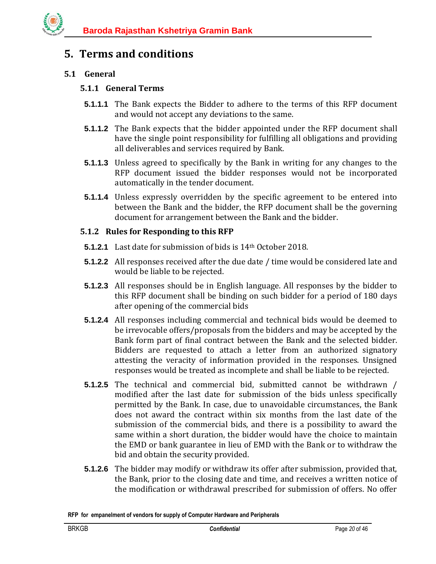# <span id="page-19-0"></span>**5. Terms and conditions**

## <span id="page-19-2"></span><span id="page-19-1"></span>**5.1 General**

## **5.1.1 General Terms**

- **5.1.1.1** The Bank expects the Bidder to adhere to the terms of this RFP document and would not accept any deviations to the same.
- **5.1.1.2** The Bank expects that the bidder appointed under the RFP document shall have the single point responsibility for fulfilling all obligations and providing all deliverables and services required by Bank.
- **5.1.1.3** Unless agreed to specifically by the Bank in writing for any changes to the RFP document issued the bidder responses would not be incorporated automatically in the tender document.
- **5.1.1.4** Unless expressly overridden by the specific agreement to be entered into between the Bank and the bidder, the RFP document shall be the governing document for arrangement between the Bank and the bidder.

## <span id="page-19-3"></span>**5.1.2 Rules for Responding to this RFP**

- **5.1.2.1** Last date for submission of bids is 14th October 2018.
- **5.1.2.2** All responses received after the due date / time would be considered late and would be liable to be rejected.
- **5.1.2.3** All responses should be in English language. All responses by the bidder to this RFP document shall be binding on such bidder for a period of 180 days after opening of the commercial bids
- **5.1.2.4** All responses including commercial and technical bids would be deemed to be irrevocable offers/proposals from the bidders and may be accepted by the Bank form part of final contract between the Bank and the selected bidder. Bidders are requested to attach a letter from an authorized signatory attesting the veracity of information provided in the responses. Unsigned responses would be treated as incomplete and shall be liable to be rejected.
- **5.1.2.5** The technical and commercial bid, submitted cannot be withdrawn / modified after the last date for submission of the bids unless specifically permitted by the Bank. In case, due to unavoidable circumstances, the Bank does not award the contract within six months from the last date of the submission of the commercial bids, and there is a possibility to award the same within a short duration, the bidder would have the choice to maintain the EMD or bank guarantee in lieu of EMD with the Bank or to withdraw the bid and obtain the security provided.
- **5.1.2.6** The bidder may modify or withdraw its offer after submission, provided that, the Bank, prior to the closing date and time, and receives a written notice of the modification or withdrawal prescribed for submission of offers. No offer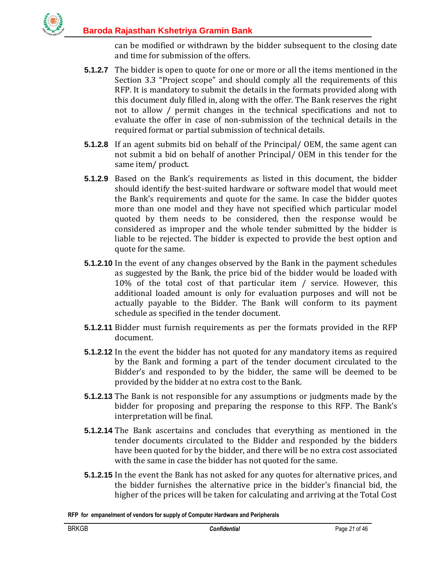can be modified or withdrawn by the bidder subsequent to the closing date and time for submission of the offers.

- **5.1.2.7** The bidder is open to quote for one or more or all the items mentioned in the Section 3.3 "Project scope" and should comply all the requirements of this RFP. It is mandatory to submit the details in the formats provided along with this document duly filled in, along with the offer. The Bank reserves the right not to allow / permit changes in the technical specifications and not to evaluate the offer in case of non-submission of the technical details in the required format or partial submission of technical details.
- **5.1.2.8** If an agent submits bid on behalf of the Principal/ OEM, the same agent can not submit a bid on behalf of another Principal/ OEM in this tender for the same item/ product.
- **5.1.2.9** Based on the Bank's requirements as listed in this document, the bidder should identify the best-suited hardware or software model that would meet the Bank's requirements and quote for the same. In case the bidder quotes more than one model and they have not specified which particular model quoted by them needs to be considered, then the response would be considered as improper and the whole tender submitted by the bidder is liable to be rejected. The bidder is expected to provide the best option and quote for the same.
- **5.1.2.10** In the event of any changes observed by the Bank in the payment schedules as suggested by the Bank, the price bid of the bidder would be loaded with 10% of the total cost of that particular item / service. However, this additional loaded amount is only for evaluation purposes and will not be actually payable to the Bidder. The Bank will conform to its payment schedule as specified in the tender document.
- **5.1.2.11** Bidder must furnish requirements as per the formats provided in the RFP document.
- **5.1.2.12** In the event the bidder has not quoted for any mandatory items as required by the Bank and forming a part of the tender document circulated to the Bidder's and responded to by the bidder, the same will be deemed to be provided by the bidder at no extra cost to the Bank.
- **5.1.2.13** The Bank is not responsible for any assumptions or judgments made by the bidder for proposing and preparing the response to this RFP. The Bank's interpretation will be final.
- **5.1.2.14** The Bank ascertains and concludes that everything as mentioned in the tender documents circulated to the Bidder and responded by the bidders have been quoted for by the bidder, and there will be no extra cost associated with the same in case the bidder has not quoted for the same.
- **5.1.2.15** In the event the Bank has not asked for any quotes for alternative prices, and the bidder furnishes the alternative price in the bidder's financial bid, the higher of the prices will be taken for calculating and arriving at the Total Cost

**RFP for empanelment of vendors for supply of Computer Hardware and Peripherals**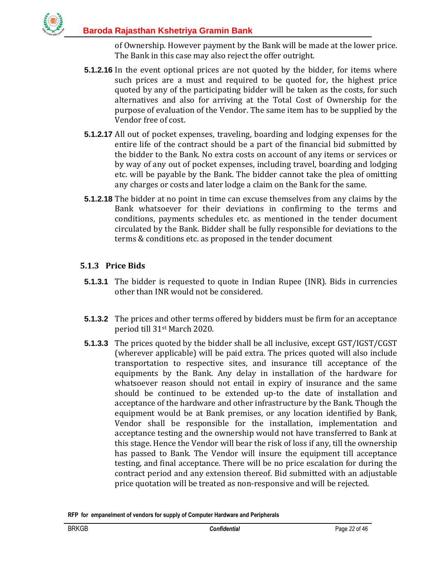of Ownership. However payment by the Bank will be made at the lower price. The Bank in this case may also reject the offer outright.

- **5.1.2.16** In the event optional prices are not quoted by the bidder, for items where such prices are a must and required to be quoted for, the highest price quoted by any of the participating bidder will be taken as the costs, for such alternatives and also for arriving at the Total Cost of Ownership for the purpose of evaluation of the Vendor. The same item has to be supplied by the Vendor free of cost.
- **5.1.2.17** All out of pocket expenses, traveling, boarding and lodging expenses for the entire life of the contract should be a part of the financial bid submitted by the bidder to the Bank. No extra costs on account of any items or services or by way of any out of pocket expenses, including travel, boarding and lodging etc. will be payable by the Bank. The bidder cannot take the plea of omitting any charges or costs and later lodge a claim on the Bank for the same.
- **5.1.2.18** The bidder at no point in time can excuse themselves from any claims by the Bank whatsoever for their deviations in confirming to the terms and conditions, payments schedules etc. as mentioned in the tender document circulated by the Bank. Bidder shall be fully responsible for deviations to the terms & conditions etc. as proposed in the tender document

## <span id="page-21-0"></span>**5.1.3 Price Bids**

- **5.1.3.1** The bidder is requested to quote in Indian Rupee (INR). Bids in currencies other than INR would not be considered.
- **5.1.3.2** The prices and other terms offered by bidders must be firm for an acceptance period till 31st March 2020.
- **5.1.3.3** The prices quoted by the bidder shall be all inclusive, except GST/IGST/CGST (wherever applicable) will be paid extra. The prices quoted will also include transportation to respective sites, and insurance till acceptance of the equipments by the Bank. Any delay in installation of the hardware for whatsoever reason should not entail in expiry of insurance and the same should be continued to be extended up-to the date of installation and acceptance of the hardware and other infrastructure by the Bank. Though the equipment would be at Bank premises, or any location identified by Bank, Vendor shall be responsible for the installation, implementation and acceptance testing and the ownership would not have transferred to Bank at this stage. Hence the Vendor will bear the risk of loss if any, till the ownership has passed to Bank. The Vendor will insure the equipment till acceptance testing, and final acceptance. There will be no price escalation for during the contract period and any extension thereof. Bid submitted with an adjustable price quotation will be treated as non-responsive and will be rejected.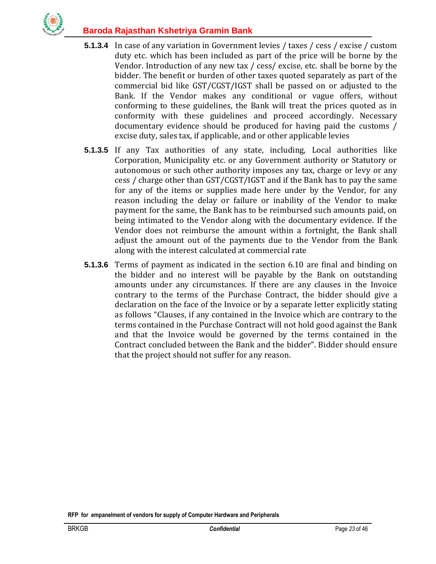

- **5.1.3.4** In case of any variation in Government levies / taxes / cess / excise / custom duty etc. which has been included as part of the price will be borne by the Vendor. Introduction of any new tax / cess/ excise, etc. shall be borne by the bidder. The benefit or burden of other taxes quoted separately as part of the commercial bid like GST/CGST/IGST shall be passed on or adjusted to the Bank. If the Vendor makes any conditional or vague offers, without conforming to these guidelines, the Bank will treat the prices quoted as in conformity with these guidelines and proceed accordingly. Necessary documentary evidence should be produced for having paid the customs / excise duty, sales tax, if applicable, and or other applicable levies
- **5.1.3.5** If any Tax authorities of any state, including, Local authorities like Corporation, Municipality etc. or any Government authority or Statutory or autonomous or such other authority imposes any tax, charge or levy or any cess / charge other than GST/CGST/IGST and if the Bank has to pay the same for any of the items or supplies made here under by the Vendor, for any reason including the delay or failure or inability of the Vendor to make payment for the same, the Bank has to be reimbursed such amounts paid, on being intimated to the Vendor along with the documentary evidence. If the Vendor does not reimburse the amount within a fortnight, the Bank shall adjust the amount out of the payments due to the Vendor from the Bank along with the interest calculated at commercial rate
- **5.1.3.6** Terms of payment as indicated in the section 6.10 are final and binding on the bidder and no interest will be payable by the Bank on outstanding amounts under any circumstances. If there are any clauses in the Invoice contrary to the terms of the Purchase Contract, the bidder should give a declaration on the face of the Invoice or by a separate letter explicitly stating as follows "Clauses, if any contained in the Invoice which are contrary to the terms contained in the Purchase Contract will not hold good against the Bank and that the Invoice would be governed by the terms contained in the Contract concluded between the Bank and the bidder". Bidder should ensure that the project should not suffer for any reason.

**RFP for empanelment of vendors for supply of Computer Hardware and Peripherals**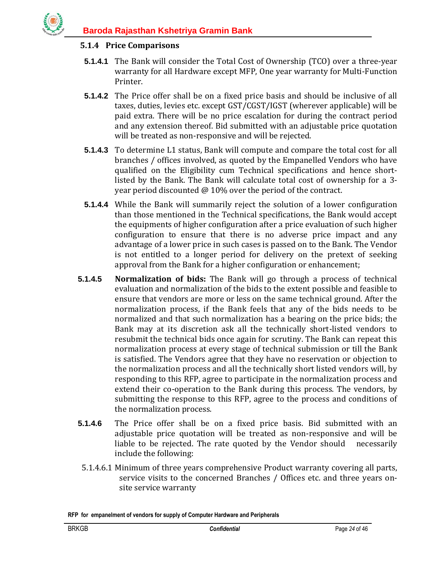

#### <span id="page-23-0"></span>**5.1.4 Price Comparisons**

- **5.1.4.1** The Bank will consider the Total Cost of Ownership (TCO) over a three-year warranty for all Hardware except MFP, One year warranty for Multi-Function Printer.
- **5.1.4.2** The Price offer shall be on a fixed price basis and should be inclusive of all taxes, duties, levies etc. except GST/CGST/IGST (wherever applicable) will be paid extra. There will be no price escalation for during the contract period and any extension thereof. Bid submitted with an adjustable price quotation will be treated as non-responsive and will be rejected.
- **5.1.4.3** To determine L1 status, Bank will compute and compare the total cost for all branches / offices involved, as quoted by the Empanelled Vendors who have qualified on the Eligibility cum Technical specifications and hence shortlisted by the Bank. The Bank will calculate total cost of ownership for a 3 year period discounted @ 10% over the period of the contract.
- **5.1.4.4** While the Bank will summarily reject the solution of a lower configuration than those mentioned in the Technical specifications, the Bank would accept the equipments of higher configuration after a price evaluation of such higher configuration to ensure that there is no adverse price impact and any advantage of a lower price in such cases is passed on to the Bank. The Vendor is not entitled to a longer period for delivery on the pretext of seeking approval from the Bank for a higher configuration or enhancement;
- **5.1.4.5 Normalization of bids:** The Bank will go through a process of technical evaluation and normalization of the bids to the extent possible and feasible to ensure that vendors are more or less on the same technical ground. After the normalization process, if the Bank feels that any of the bids needs to be normalized and that such normalization has a bearing on the price bids; the Bank may at its discretion ask all the technically short-listed vendors to resubmit the technical bids once again for scrutiny. The Bank can repeat this normalization process at every stage of technical submission or till the Bank is satisfied. The Vendors agree that they have no reservation or objection to the normalization process and all the technically short listed vendors will, by responding to this RFP, agree to participate in the normalization process and extend their co-operation to the Bank during this process. The vendors, by submitting the response to this RFP, agree to the process and conditions of the normalization process.
- **5.1.4.6** The Price offer shall be on a fixed price basis. Bid submitted with an adjustable price quotation will be treated as non-responsive and will be liable to be rejected. The rate quoted by the Vendor should necessarily include the following:
- 5.1.4.6.1 Minimum of three years comprehensive Product warranty covering all parts, service visits to the concerned Branches / Offices etc. and three years onsite service warranty

**RFP for empanelment of vendors for supply of Computer Hardware and Peripherals**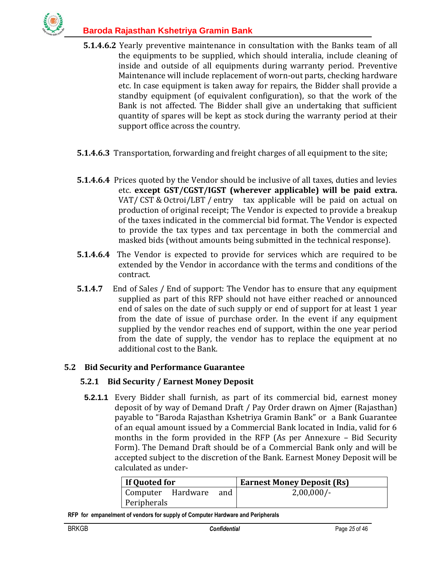

- **5.1.4.6.2** Yearly preventive maintenance in consultation with the Banks team of all the equipments to be supplied, which should interalia, include cleaning of inside and outside of all equipments during warranty period. Preventive Maintenance will include replacement of worn-out parts, checking hardware etc. In case equipment is taken away for repairs, the Bidder shall provide a standby equipment (of equivalent configuration), so that the work of the Bank is not affected. The Bidder shall give an undertaking that sufficient quantity of spares will be kept as stock during the warranty period at their support office across the country.
- **5.1.4.6.3** Transportation, forwarding and freight charges of all equipment to the site;
- **5.1.4.6.4** Prices quoted by the Vendor should be inclusive of all taxes, duties and levies etc. **except GST/CGST/IGST (wherever applicable) will be paid extra.** VAT/ CST & Octroi/LBT / entry tax applicable will be paid on actual on production of original receipt; The Vendor is expected to provide a breakup of the taxes indicated in the commercial bid format. The Vendor is expected to provide the tax types and tax percentage in both the commercial and masked bids (without amounts being submitted in the technical response).
- **5.1.4.6.4** The Vendor is expected to provide for services which are required to be extended by the Vendor in accordance with the terms and conditions of the contract.
- **5.1.4.7** End of Sales / End of support: The Vendor has to ensure that any equipment supplied as part of this RFP should not have either reached or announced end of sales on the date of such supply or end of support for at least 1 year from the date of issue of purchase order. In the event if any equipment supplied by the vendor reaches end of support, within the one year period from the date of supply, the vendor has to replace the equipment at no additional cost to the Bank.

## <span id="page-24-0"></span>**5.2 Bid Security and Performance Guarantee**

#### <span id="page-24-1"></span>**5.2.1 Bid Security / Earnest Money Deposit**

**5.2.1.1** Every Bidder shall furnish, as part of its commercial bid, earnest money deposit of by way of Demand Draft / Pay Order drawn on Ajmer (Rajasthan) payable to "Baroda Rajasthan Kshetriya Gramin Bank" or a Bank Guarantee of an equal amount issued by a Commercial Bank located in India, valid for 6 months in the form provided in the RFP (As per Annexure – Bid Security Form). The Demand Draft should be of a Commercial Bank only and will be accepted subject to the discretion of the Bank. Earnest Money Deposit will be calculated as under-

| If Quoted for     |  |     | <b>Earnest Money Deposit (Rs)</b> |
|-------------------|--|-----|-----------------------------------|
| Computer Hardware |  | and | $2,00,000/-$                      |
| Peripherals       |  |     |                                   |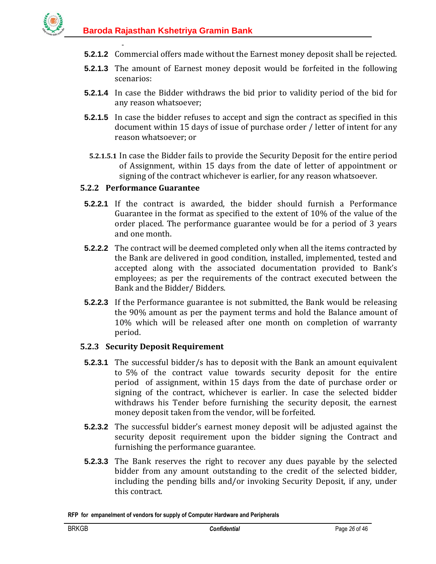- **5.2.1.2** Commercial offers made without the Earnest money deposit shall be rejected.
- **5.2.1.3** The amount of Earnest money deposit would be forfeited in the following scenarios:
- **5.2.1.4** In case the Bidder withdraws the bid prior to validity period of the bid for any reason whatsoever;
- **5.2.1.5** In case the bidder refuses to accept and sign the contract as specified in this document within 15 days of issue of purchase order / letter of intent for any reason whatsoever; or
- **5.2.1.5.1** In case the Bidder fails to provide the Security Deposit for the entire period of Assignment, within 15 days from the date of letter of appointment or signing of the contract whichever is earlier, for any reason whatsoever.

#### <span id="page-25-0"></span>**5.2.2 Performance Guarantee**

-

- **5.2.2.1** If the contract is awarded, the bidder should furnish a Performance Guarantee in the format as specified to the extent of 10% of the value of the order placed. The performance guarantee would be for a period of 3 years and one month.
- **5.2.2.2** The contract will be deemed completed only when all the items contracted by the Bank are delivered in good condition, installed, implemented, tested and accepted along with the associated documentation provided to Bank's employees; as per the requirements of the contract executed between the Bank and the Bidder/ Bidders.
- **5.2.2.3** If the Performance guarantee is not submitted, the Bank would be releasing the 90% amount as per the payment terms and hold the Balance amount of 10% which will be released after one month on completion of warranty period.

#### <span id="page-25-1"></span>**5.2.3 Security Deposit Requirement**

- **5.2.3.1** The successful bidder/s has to deposit with the Bank an amount equivalent to 5% of the contract value towards security deposit for the entire period of assignment, within 15 days from the date of purchase order or signing of the contract, whichever is earlier. In case the selected bidder withdraws his Tender before furnishing the security deposit, the earnest money deposit taken from the vendor, will be forfeited.
- **5.2.3.2** The successful bidder's earnest money deposit will be adjusted against the security deposit requirement upon the bidder signing the Contract and furnishing the performance guarantee.
- **5.2.3.3** The Bank reserves the right to recover any dues payable by the selected bidder from any amount outstanding to the credit of the selected bidder, including the pending bills and/or invoking Security Deposit, if any, under this contract.

**RFP for empanelment of vendors for supply of Computer Hardware and Peripherals**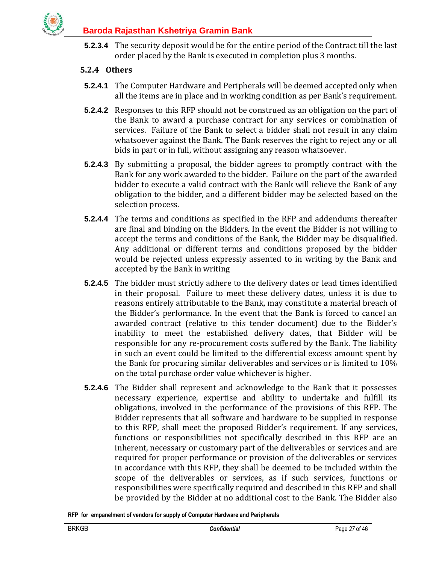

**5.2.3.4** The security deposit would be for the entire period of the Contract till the last order placed by the Bank is executed in completion plus 3 months.

## <span id="page-26-0"></span>**5.2.4 Others**

- **5.2.4.1** The Computer Hardware and Peripherals will be deemed accepted only when all the items are in place and in working condition as per Bank's requirement.
- **5.2.4.2** Responses to this RFP should not be construed as an obligation on the part of the Bank to award a purchase contract for any services or combination of services. Failure of the Bank to select a bidder shall not result in any claim whatsoever against the Bank. The Bank reserves the right to reject any or all bids in part or in full, without assigning any reason whatsoever.
- **5.2.4.3** By submitting a proposal, the bidder agrees to promptly contract with the Bank for any work awarded to the bidder. Failure on the part of the awarded bidder to execute a valid contract with the Bank will relieve the Bank of any obligation to the bidder, and a different bidder may be selected based on the selection process.
- **5.2.4.4** The terms and conditions as specified in the RFP and addendums thereafter are final and binding on the Bidders. In the event the Bidder is not willing to accept the terms and conditions of the Bank, the Bidder may be disqualified. Any additional or different terms and conditions proposed by the bidder would be rejected unless expressly assented to in writing by the Bank and accepted by the Bank in writing
- **5.2.4.5** The bidder must strictly adhere to the delivery dates or lead times identified in their proposal. Failure to meet these delivery dates, unless it is due to reasons entirely attributable to the Bank, may constitute a material breach of the Bidder's performance. In the event that the Bank is forced to cancel an awarded contract (relative to this tender document) due to the Bidder's inability to meet the established delivery dates, that Bidder will be responsible for any re-procurement costs suffered by the Bank. The liability in such an event could be limited to the differential excess amount spent by the Bank for procuring similar deliverables and services or is limited to 10% on the total purchase order value whichever is higher.
- **5.2.4.6** The Bidder shall represent and acknowledge to the Bank that it possesses necessary experience, expertise and ability to undertake and fulfill its obligations, involved in the performance of the provisions of this RFP. The Bidder represents that all software and hardware to be supplied in response to this RFP, shall meet the proposed Bidder's requirement. If any services, functions or responsibilities not specifically described in this RFP are an inherent, necessary or customary part of the deliverables or services and are required for proper performance or provision of the deliverables or services in accordance with this RFP, they shall be deemed to be included within the scope of the deliverables or services, as if such services, functions or responsibilities were specifically required and described in this RFP and shall be provided by the Bidder at no additional cost to the Bank. The Bidder also
- **RFP for empanelment of vendors for supply of Computer Hardware and Peripherals**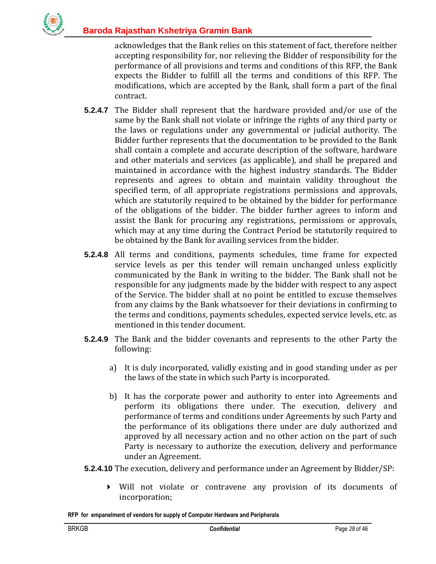acknowledges that the Bank relies on this statement of fact, therefore neither accepting responsibility for, nor relieving the Bidder of responsibility for the performance of all provisions and terms and conditions of this RFP, the Bank expects the Bidder to fulfill all the terms and conditions of this RFP. The modifications, which are accepted by the Bank, shall form a part of the final contract.

- **5.2.4.7** The Bidder shall represent that the hardware provided and/or use of the same by the Bank shall not violate or infringe the rights of any third party or the laws or regulations under any governmental or judicial authority. The Bidder further represents that the documentation to be provided to the Bank shall contain a complete and accurate description of the software, hardware and other materials and services (as applicable), and shall be prepared and maintained in accordance with the highest industry standards. The Bidder represents and agrees to obtain and maintain validity throughout the specified term, of all appropriate registrations permissions and approvals, which are statutorily required to be obtained by the bidder for performance of the obligations of the bidder. The bidder further agrees to inform and assist the Bank for procuring any registrations, permissions or approvals, which may at any time during the Contract Period be statutorily required to be obtained by the Bank for availing services from the bidder.
- **5.2.4.8** All terms and conditions, payments schedules, time frame for expected service levels as per this tender will remain unchanged unless explicitly communicated by the Bank in writing to the bidder. The Bank shall not be responsible for any judgments made by the bidder with respect to any aspect of the Service. The bidder shall at no point be entitled to excuse themselves from any claims by the Bank whatsoever for their deviations in confirming to the terms and conditions, payments schedules, expected service levels, etc. as mentioned in this tender document.
- **5.2.4.9** The Bank and the bidder covenants and represents to the other Party the following:
	- a) It is duly incorporated, validly existing and in good standing under as per the laws of the state in which such Party is incorporated.
	- b) It has the corporate power and authority to enter into Agreements and perform its obligations there under. The execution, delivery and performance of terms and conditions under Agreements by such Party and the performance of its obligations there under are duly authorized and approved by all necessary action and no other action on the part of such Party is necessary to authorize the execution, delivery and performance under an Agreement.
- **5.2.4.10** The execution, delivery and performance under an Agreement by Bidder/SP:
	- Will not violate or contravene any provision of its documents of incorporation;

**RFP for empanelment of vendors for supply of Computer Hardware and Peripherals**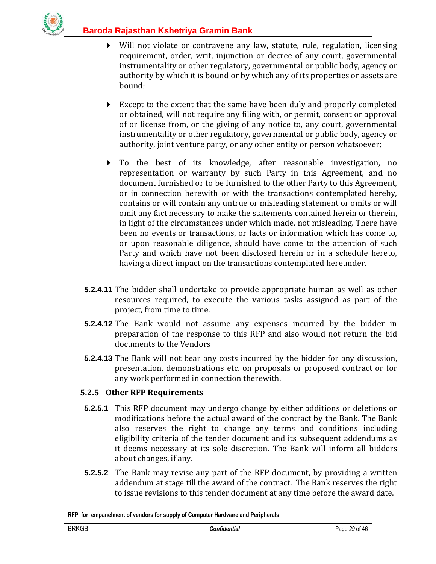- Will not violate or contravene any law, statute, rule, regulation, licensing requirement, order, writ, injunction or decree of any court, governmental instrumentality or other regulatory, governmental or public body, agency or authority by which it is bound or by which any of its properties or assets are bound;
- Except to the extent that the same have been duly and properly completed or obtained, will not require any filing with, or permit, consent or approval of or license from, or the giving of any notice to, any court, governmental instrumentality or other regulatory, governmental or public body, agency or authority, joint venture party, or any other entity or person whatsoever;
- To the best of its knowledge, after reasonable investigation, no representation or warranty by such Party in this Agreement, and no document furnished or to be furnished to the other Party to this Agreement, or in connection herewith or with the transactions contemplated hereby, contains or will contain any untrue or misleading statement or omits or will omit any fact necessary to make the statements contained herein or therein, in light of the circumstances under which made, not misleading. There have been no events or transactions, or facts or information which has come to, or upon reasonable diligence, should have come to the attention of such Party and which have not been disclosed herein or in a schedule hereto, having a direct impact on the transactions contemplated hereunder.
- **5.2.4.11** The bidder shall undertake to provide appropriate human as well as other resources required, to execute the various tasks assigned as part of the project, from time to time.
- **5.2.4.12** The Bank would not assume any expenses incurred by the bidder in preparation of the response to this RFP and also would not return the bid documents to the Vendors
- **5.2.4.13** The Bank will not bear any costs incurred by the bidder for any discussion, presentation, demonstrations etc. on proposals or proposed contract or for any work performed in connection therewith.

## <span id="page-28-0"></span>**5.2.5 Other RFP Requirements**

- **5.2.5.1** This RFP document may undergo change by either additions or deletions or modifications before the actual award of the contract by the Bank. The Bank also reserves the right to change any terms and conditions including eligibility criteria of the tender document and its subsequent addendums as it deems necessary at its sole discretion. The Bank will inform all bidders about changes, if any.
- **5.2.5.2** The Bank may revise any part of the RFP document, by providing a written addendum at stage till the award of the contract. The Bank reserves the right to issue revisions to this tender document at any time before the award date.

**RFP for empanelment of vendors for supply of Computer Hardware and Peripherals**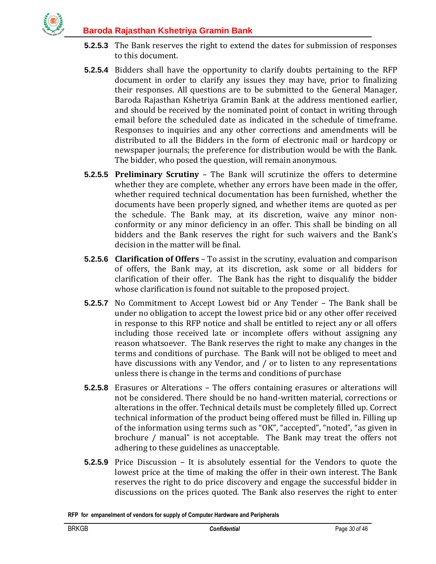

- **5.2.5.3** The Bank reserves the right to extend the dates for submission of responses to this document.
- **5.2.5.4** Bidders shall have the opportunity to clarify doubts pertaining to the RFP document in order to clarify any issues they may have, prior to finalizing their responses. All questions are to be submitted to the General Manager, Baroda Rajasthan Kshetriya Gramin Bank at the address mentioned earlier, and should be received by the nominated point of contact in writing through email before the scheduled date as indicated in the schedule of timeframe. Responses to inquiries and any other corrections and amendments will be distributed to all the Bidders in the form of electronic mail or hardcopy or newspaper journals; the preference for distribution would be with the Bank. The bidder, who posed the question, will remain anonymous.
- **5.2.5.5 Preliminary Scrutiny** The Bank will scrutinize the offers to determine whether they are complete, whether any errors have been made in the offer, whether required technical documentation has been furnished, whether the documents have been properly signed, and whether items are quoted as per the schedule. The Bank may, at its discretion, waive any minor nonconformity or any minor deficiency in an offer. This shall be binding on all bidders and the Bank reserves the right for such waivers and the Bank's decision in the matter will be final.
- **5.2.5.6 Clarification of Offers** To assist in the scrutiny, evaluation and comparison of offers, the Bank may, at its discretion, ask some or all bidders for clarification of their offer. The Bank has the right to disqualify the bidder whose clarification is found not suitable to the proposed project.
- **5.2.5.7** No Commitment to Accept Lowest bid or Any Tender The Bank shall be under no obligation to accept the lowest price bid or any other offer received in response to this RFP notice and shall be entitled to reject any or all offers including those received late or incomplete offers without assigning any reason whatsoever. The Bank reserves the right to make any changes in the terms and conditions of purchase. The Bank will not be obliged to meet and have discussions with any Vendor, and / or to listen to any representations unless there is change in the terms and conditions of purchase
- **5.2.5.8** Erasures or Alterations The offers containing erasures or alterations will not be considered. There should be no hand-written material, corrections or alterations in the offer. Technical details must be completely filled up. Correct technical information of the product being offered must be filled in. Filling up of the information using terms such as "OK", "accepted", "noted", "as given in brochure / manual" is not acceptable. The Bank may treat the offers not adhering to these guidelines as unacceptable.
- **5.2.5.9** Price Discussion It is absolutely essential for the Vendors to quote the lowest price at the time of making the offer in their own interest. The Bank reserves the right to do price discovery and engage the successful bidder in discussions on the prices quoted. The Bank also reserves the right to enter

**RFP for empanelment of vendors for supply of Computer Hardware and Peripherals**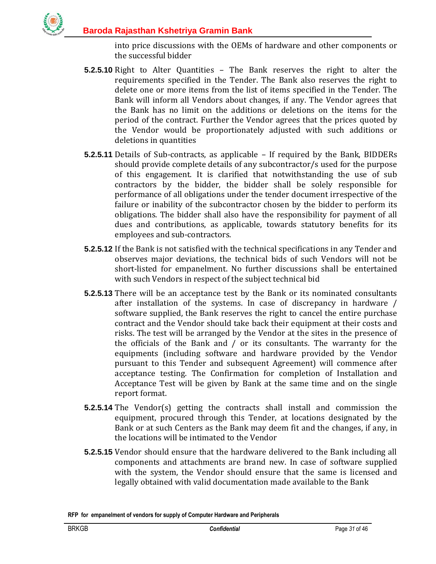

into price discussions with the OEMs of hardware and other components or the successful bidder

- **5.2.5.10** Right to Alter Quantities The Bank reserves the right to alter the requirements specified in the Tender. The Bank also reserves the right to delete one or more items from the list of items specified in the Tender. The Bank will inform all Vendors about changes, if any. The Vendor agrees that the Bank has no limit on the additions or deletions on the items for the period of the contract. Further the Vendor agrees that the prices quoted by the Vendor would be proportionately adjusted with such additions or deletions in quantities
- **5.2.5.11** Details of Sub-contracts, as applicable If required by the Bank, BIDDERs should provide complete details of any subcontractor/s used for the purpose of this engagement. It is clarified that notwithstanding the use of sub contractors by the bidder, the bidder shall be solely responsible for performance of all obligations under the tender document irrespective of the failure or inability of the subcontractor chosen by the bidder to perform its obligations. The bidder shall also have the responsibility for payment of all dues and contributions, as applicable, towards statutory benefits for its employees and sub-contractors.
- **5.2.5.12** If the Bank is not satisfied with the technical specifications in any Tender and observes major deviations, the technical bids of such Vendors will not be short-listed for empanelment. No further discussions shall be entertained with such Vendors in respect of the subject technical bid
- **5.2.5.13** There will be an acceptance test by the Bank or its nominated consultants after installation of the systems. In case of discrepancy in hardware / software supplied, the Bank reserves the right to cancel the entire purchase contract and the Vendor should take back their equipment at their costs and risks. The test will be arranged by the Vendor at the sites in the presence of the officials of the Bank and / or its consultants. The warranty for the equipments (including software and hardware provided by the Vendor pursuant to this Tender and subsequent Agreement) will commence after acceptance testing. The Confirmation for completion of Installation and Acceptance Test will be given by Bank at the same time and on the single report format.
- **5.2.5.14** The Vendor(s) getting the contracts shall install and commission the equipment, procured through this Tender, at locations designated by the Bank or at such Centers as the Bank may deem fit and the changes, if any, in the locations will be intimated to the Vendor
- **5.2.5.15** Vendor should ensure that the hardware delivered to the Bank including all components and attachments are brand new. In case of software supplied with the system, the Vendor should ensure that the same is licensed and legally obtained with valid documentation made available to the Bank

**RFP for empanelment of vendors for supply of Computer Hardware and Peripherals**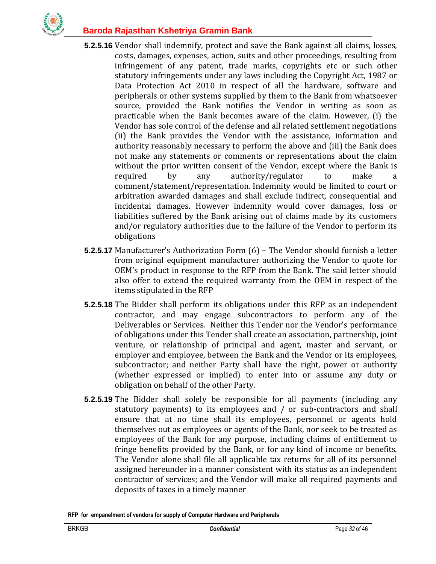

- **5.2.5.16** Vendor shall indemnify, protect and save the Bank against all claims, losses, costs, damages, expenses, action, suits and other proceedings, resulting from infringement of any patent, trade marks, copyrights etc or such other statutory infringements under any laws including the Copyright Act, 1987 or Data Protection Act 2010 in respect of all the hardware, software and peripherals or other systems supplied by them to the Bank from whatsoever source, provided the Bank notifies the Vendor in writing as soon as practicable when the Bank becomes aware of the claim. However, (i) the Vendor has sole control of the defense and all related settlement negotiations (ii) the Bank provides the Vendor with the assistance, information and authority reasonably necessary to perform the above and (iii) the Bank does not make any statements or comments or representations about the claim without the prior written consent of the Vendor, except where the Bank is required by any authority/regulator to make a comment/statement/representation. Indemnity would be limited to court or arbitration awarded damages and shall exclude indirect, consequential and incidental damages. However indemnity would cover damages, loss or liabilities suffered by the Bank arising out of claims made by its customers and/or regulatory authorities due to the failure of the Vendor to perform its obligations
- **5.2.5.17** Manufacturer's Authorization Form (6) The Vendor should furnish a letter from original equipment manufacturer authorizing the Vendor to quote for OEM's product in response to the RFP from the Bank. The said letter should also offer to extend the required warranty from the OEM in respect of the items stipulated in the RFP
- **5.2.5.18** The Bidder shall perform its obligations under this RFP as an independent contractor, and may engage subcontractors to perform any of the Deliverables or Services. Neither this Tender nor the Vendor's performance of obligations under this Tender shall create an association, partnership, joint venture, or relationship of principal and agent, master and servant, or employer and employee, between the Bank and the Vendor or its employees, subcontractor; and neither Party shall have the right, power or authority (whether expressed or implied) to enter into or assume any duty or obligation on behalf of the other Party.
- **5.2.5.19** The Bidder shall solely be responsible for all payments (including any statutory payments) to its employees and / or sub-contractors and shall ensure that at no time shall its employees, personnel or agents hold themselves out as employees or agents of the Bank, nor seek to be treated as employees of the Bank for any purpose, including claims of entitlement to fringe benefits provided by the Bank, or for any kind of income or benefits. The Vendor alone shall file all applicable tax returns for all of its personnel assigned hereunder in a manner consistent with its status as an independent contractor of services; and the Vendor will make all required payments and deposits of taxes in a timely manner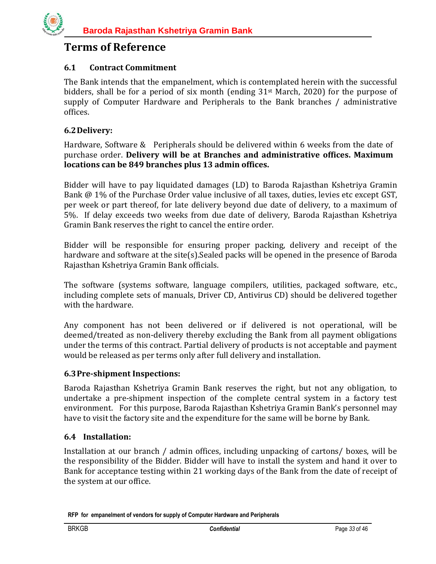## **Terms of Reference**

## <span id="page-32-0"></span>**6.1 Contract Commitment**

The Bank intends that the empanelment, which is contemplated herein with the successful bidders, shall be for a period of six month (ending 31st March, 2020) for the purpose of supply of Computer Hardware and Peripherals to the Bank branches / administrative offices.

## <span id="page-32-1"></span>**6.2Delivery:**

Hardware, Software & Peripherals should be delivered within 6 weeks from the date of purchase order. **Delivery will be at Branches and administrative offices. Maximum locations can be 849 branches plus 13 admin offices.** 

Bidder will have to pay liquidated damages (LD) to Baroda Rajasthan Kshetriya Gramin Bank @ 1% of the Purchase Order value inclusive of all taxes, duties, levies etc except GST, per week or part thereof, for late delivery beyond due date of delivery, to a maximum of 5%. If delay exceeds two weeks from due date of delivery, Baroda Rajasthan Kshetriya Gramin Bank reserves the right to cancel the entire order.

Bidder will be responsible for ensuring proper packing, delivery and receipt of the hardware and software at the site(s).Sealed packs will be opened in the presence of Baroda Rajasthan Kshetriya Gramin Bank officials.

The software (systems software, language compilers, utilities, packaged software, etc., including complete sets of manuals, Driver CD, Antivirus CD) should be delivered together with the hardware.

Any component has not been delivered or if delivered is not operational, will be deemed/treated as non-delivery thereby excluding the Bank from all payment obligations under the terms of this contract. Partial delivery of products is not acceptable and payment would be released as per terms only after full delivery and installation.

## <span id="page-32-2"></span>**6.3Pre-shipment Inspections:**

Baroda Rajasthan Kshetriya Gramin Bank reserves the right, but not any obligation, to undertake a pre-shipment inspection of the complete central system in a factory test environment. For this purpose, Baroda Rajasthan Kshetriya Gramin Bank's personnel may have to visit the factory site and the expenditure for the same will be borne by Bank.

## <span id="page-32-3"></span>**6.4 Installation:**

Installation at our branch / admin offices, including unpacking of cartons/ boxes, will be the responsibility of the Bidder. Bidder will have to install the system and hand it over to Bank for acceptance testing within 21 working days of the Bank from the date of receipt of the system at our office.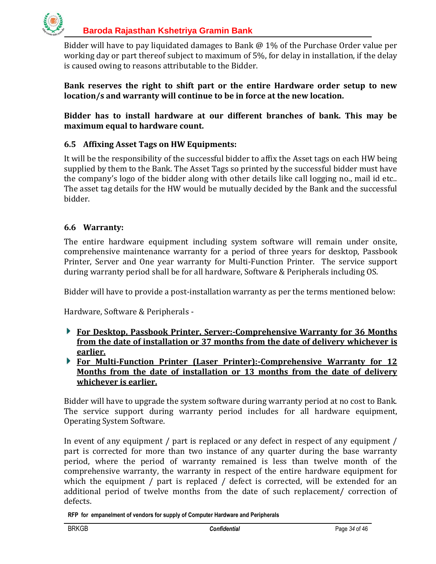

Bidder will have to pay liquidated damages to Bank @ 1% of the Purchase Order value per working day or part thereof subject to maximum of 5%, for delay in installation, if the delay is caused owing to reasons attributable to the Bidder.

**Bank reserves the right to shift part or the entire Hardware order setup to new location/s and warranty will continue to be in force at the new location.**

**Bidder has to install hardware at our different branches of bank. This may be maximum equal to hardware count.**

## <span id="page-33-0"></span>**6.5 Affixing Asset Tags on HW Equipments:**

It will be the responsibility of the successful bidder to affix the Asset tags on each HW being supplied by them to the Bank. The Asset Tags so printed by the successful bidder must have the company's logo of the bidder along with other details like call logging no., mail id etc.. The asset tag details for the HW would be mutually decided by the Bank and the successful bidder.

#### <span id="page-33-1"></span>**6.6 Warranty:**

The entire hardware equipment including system software will remain under onsite, comprehensive maintenance warranty for a period of three years for desktop, Passbook Printer, Server and One year warranty for Multi-Function Printer. The service support during warranty period shall be for all hardware, Software & Peripherals including OS.

Bidder will have to provide a post-installation warranty as per the terms mentioned below:

Hardware, Software & Peripherals -

- **For Desktop, Passbook Printer, Server:-Comprehensive Warranty for 36 Months from the date of installation or 37 months from the date of delivery whichever is earlier.**
- **For Multi-Function Printer (Laser Printer):-Comprehensive Warranty for 12 Months from the date of installation or 13 months from the date of delivery whichever is earlier.**

Bidder will have to upgrade the system software during warranty period at no cost to Bank. The service support during warranty period includes for all hardware equipment, Operating System Software.

In event of any equipment / part is replaced or any defect in respect of any equipment / part is corrected for more than two instance of any quarter during the base warranty period, where the period of warranty remained is less than twelve month of the comprehensive warranty, the warranty in respect of the entire hardware equipment for which the equipment / part is replaced / defect is corrected, will be extended for an additional period of twelve months from the date of such replacement/ correction of defects.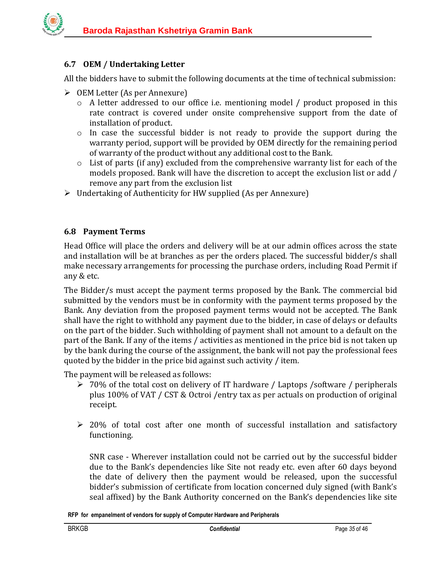## <span id="page-34-0"></span>**6.7 OEM / Undertaking Letter**

All the bidders have to submit the following documents at the time of technical submission:

- $\triangleright$  OEM Letter (As per Annexure)
	- o A letter addressed to our office i.e. mentioning model / product proposed in this rate contract is covered under onsite comprehensive support from the date of installation of product.
	- o In case the successful bidder is not ready to provide the support during the warranty period, support will be provided by OEM directly for the remaining period of warranty of the product without any additional cost to the Bank.
	- o List of parts (if any) excluded from the comprehensive warranty list for each of the models proposed. Bank will have the discretion to accept the exclusion list or add / remove any part from the exclusion list
- $\triangleright$  Undertaking of Authenticity for HW supplied (As per Annexure)

## <span id="page-34-1"></span>**6.8 Payment Terms**

Head Office will place the orders and delivery will be at our admin offices across the state and installation will be at branches as per the orders placed. The successful bidder/s shall make necessary arrangements for processing the purchase orders, including Road Permit if any & etc.

The Bidder/s must accept the payment terms proposed by the Bank. The commercial bid submitted by the vendors must be in conformity with the payment terms proposed by the Bank. Any deviation from the proposed payment terms would not be accepted. The Bank shall have the right to withhold any payment due to the bidder, in case of delays or defaults on the part of the bidder. Such withholding of payment shall not amount to a default on the part of the Bank. If any of the items / activities as mentioned in the price bid is not taken up by the bank during the course of the assignment, the bank will not pay the professional fees quoted by the bidder in the price bid against such activity / item.

The payment will be released as follows:

- $\geq 70\%$  of the total cost on delivery of IT hardware / Laptops /software / peripherals plus 100% of VAT / CST & Octroi /entry tax as per actuals on production of original receipt.
- $\geq$  20% of total cost after one month of successful installation and satisfactory functioning.

SNR case - Wherever installation could not be carried out by the successful bidder due to the Bank's dependencies like Site not ready etc. even after 60 days beyond the date of delivery then the payment would be released, upon the successful bidder's submission of certificate from location concerned duly signed (with Bank's seal affixed) by the Bank Authority concerned on the Bank's dependencies like site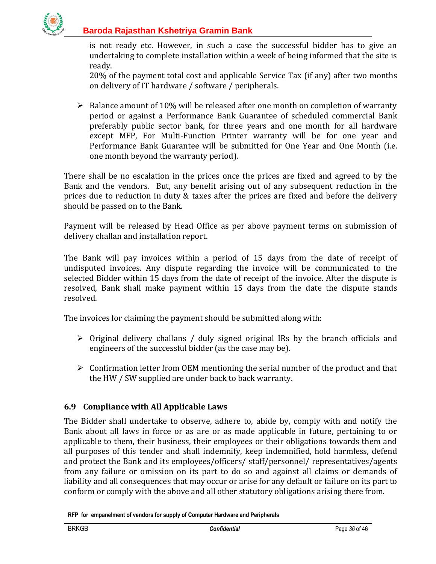

is not ready etc. However, in such a case the successful bidder has to give an undertaking to complete installation within a week of being informed that the site is ready.

20% of the payment total cost and applicable Service Tax (if any) after two months on delivery of IT hardware / software / peripherals.

 $\triangleright$  Balance amount of 10% will be released after one month on completion of warranty period or against a Performance Bank Guarantee of scheduled commercial Bank preferably public sector bank, for three years and one month for all hardware except MFP, For Multi-Function Printer warranty will be for one year and Performance Bank Guarantee will be submitted for One Year and One Month (i.e. one month beyond the warranty period).

There shall be no escalation in the prices once the prices are fixed and agreed to by the Bank and the vendors. But, any benefit arising out of any subsequent reduction in the prices due to reduction in duty & taxes after the prices are fixed and before the delivery should be passed on to the Bank.

Payment will be released by Head Office as per above payment terms on submission of delivery challan and installation report.

The Bank will pay invoices within a period of 15 days from the date of receipt of undisputed invoices. Any dispute regarding the invoice will be communicated to the selected Bidder within 15 days from the date of receipt of the invoice. After the dispute is resolved, Bank shall make payment within 15 days from the date the dispute stands resolved.

The invoices for claiming the payment should be submitted along with:

- $\triangleright$  Original delivery challans / duly signed original IRs by the branch officials and engineers of the successful bidder (as the case may be).
- $\triangleright$  Confirmation letter from OEM mentioning the serial number of the product and that the HW / SW supplied are under back to back warranty.

## <span id="page-35-0"></span>**6.9 Compliance with All Applicable Laws**

The Bidder shall undertake to observe, adhere to, abide by, comply with and notify the Bank about all laws in force or as are or as made applicable in future, pertaining to or applicable to them, their business, their employees or their obligations towards them and all purposes of this tender and shall indemnify, keep indemnified, hold harmless, defend and protect the Bank and its employees/officers/ staff/personnel/ representatives/agents from any failure or omission on its part to do so and against all claims or demands of liability and all consequences that may occur or arise for any default or failure on its part to conform or comply with the above and all other statutory obligations arising there from.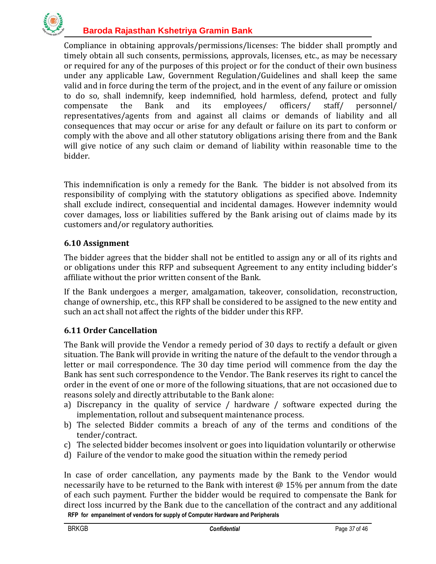

Compliance in obtaining approvals/permissions/licenses: The bidder shall promptly and timely obtain all such consents, permissions, approvals, licenses, etc., as may be necessary or required for any of the purposes of this project or for the conduct of their own business under any applicable Law, Government Regulation/Guidelines and shall keep the same valid and in force during the term of the project, and in the event of any failure or omission to do so, shall indemnify, keep indemnified, hold harmless, defend, protect and fully compensate the Bank and its employees/ officers/ staff/ personnel/ representatives/agents from and against all claims or demands of liability and all consequences that may occur or arise for any default or failure on its part to conform or comply with the above and all other statutory obligations arising there from and the Bank will give notice of any such claim or demand of liability within reasonable time to the bidder.

This indemnification is only a remedy for the Bank. The bidder is not absolved from its responsibility of complying with the statutory obligations as specified above. Indemnity shall exclude indirect, consequential and incidental damages. However indemnity would cover damages, loss or liabilities suffered by the Bank arising out of claims made by its customers and/or regulatory authorities.

## <span id="page-36-0"></span>**6.10 Assignment**

The bidder agrees that the bidder shall not be entitled to assign any or all of its rights and or obligations under this RFP and subsequent Agreement to any entity including bidder's affiliate without the prior written consent of the Bank.

If the Bank undergoes a merger, amalgamation, takeover, consolidation, reconstruction, change of ownership, etc., this RFP shall be considered to be assigned to the new entity and such an act shall not affect the rights of the bidder under this RFP.

## <span id="page-36-1"></span>**6.11 Order Cancellation**

The Bank will provide the Vendor a remedy period of 30 days to rectify a default or given situation. The Bank will provide in writing the nature of the default to the vendor through a letter or mail correspondence. The 30 day time period will commence from the day the Bank has sent such correspondence to the Vendor. The Bank reserves its right to cancel the order in the event of one or more of the following situations, that are not occasioned due to reasons solely and directly attributable to the Bank alone:

- a) Discrepancy in the quality of service / hardware / software expected during the implementation, rollout and subsequent maintenance process.
- b) The selected Bidder commits a breach of any of the terms and conditions of the tender/contract.
- c) The selected bidder becomes insolvent or goes into liquidation voluntarily or otherwise
- d) Failure of the vendor to make good the situation within the remedy period

**RFP for empanelment of vendors for supply of Computer Hardware and Peripherals**  In case of order cancellation, any payments made by the Bank to the Vendor would necessarily have to be returned to the Bank with interest @ 15% per annum from the date of each such payment. Further the bidder would be required to compensate the Bank for direct loss incurred by the Bank due to the cancellation of the contract and any additional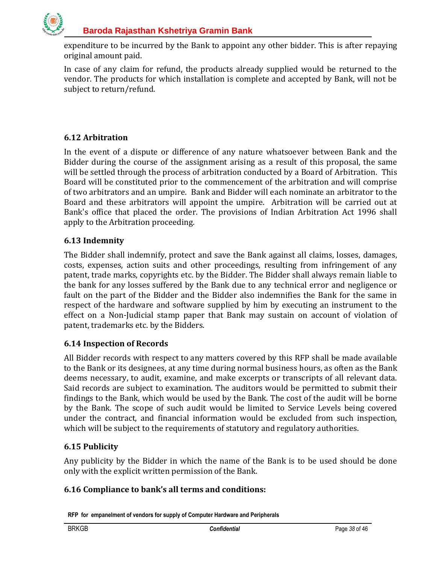

expenditure to be incurred by the Bank to appoint any other bidder. This is after repaying original amount paid.

In case of any claim for refund, the products already supplied would be returned to the vendor. The products for which installation is complete and accepted by Bank, will not be subject to return/refund.

## <span id="page-37-0"></span>**6.12 Arbitration**

In the event of a dispute or difference of any nature whatsoever between Bank and the Bidder during the course of the assignment arising as a result of this proposal, the same will be settled through the process of arbitration conducted by a Board of Arbitration. This Board will be constituted prior to the commencement of the arbitration and will comprise of two arbitrators and an umpire. Bank and Bidder will each nominate an arbitrator to the Board and these arbitrators will appoint the umpire. Arbitration will be carried out at Bank's office that placed the order. The provisions of Indian Arbitration Act 1996 shall apply to the Arbitration proceeding.

## <span id="page-37-1"></span>**6.13 Indemnity**

The Bidder shall indemnify, protect and save the Bank against all claims, losses, damages, costs, expenses, action suits and other proceedings, resulting from infringement of any patent, trade marks, copyrights etc. by the Bidder. The Bidder shall always remain liable to the bank for any losses suffered by the Bank due to any technical error and negligence or fault on the part of the Bidder and the Bidder also indemnifies the Bank for the same in respect of the hardware and software supplied by him by executing an instrument to the effect on a Non-Judicial stamp paper that Bank may sustain on account of violation of patent, trademarks etc. by the Bidders.

#### <span id="page-37-2"></span>**6.14 Inspection of Records**

All Bidder records with respect to any matters covered by this RFP shall be made available to the Bank or its designees, at any time during normal business hours, as often as the Bank deems necessary, to audit, examine, and make excerpts or transcripts of all relevant data. Said records are subject to examination. The auditors would be permitted to submit their findings to the Bank, which would be used by the Bank. The cost of the audit will be borne by the Bank. The scope of such audit would be limited to Service Levels being covered under the contract, and financial information would be excluded from such inspection, which will be subject to the requirements of statutory and regulatory authorities.

## <span id="page-37-3"></span>**6.15 Publicity**

Any publicity by the Bidder in which the name of the Bank is to be used should be done only with the explicit written permission of the Bank.

## <span id="page-37-4"></span>**6.16 Compliance to bank's all terms and conditions:**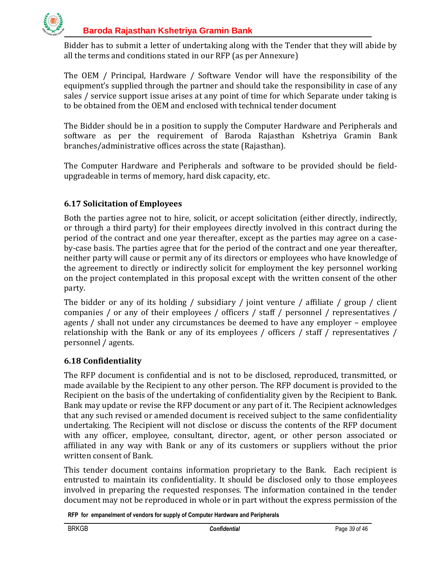

Bidder has to submit a letter of undertaking along with the Tender that they will abide by all the terms and conditions stated in our RFP (as per Annexure)

The OEM / Principal, Hardware / Software Vendor will have the responsibility of the equipment's supplied through the partner and should take the responsibility in case of any sales / service support issue arises at any point of time for which Separate under taking is to be obtained from the OEM and enclosed with technical tender document

The Bidder should be in a position to supply the Computer Hardware and Peripherals and software as per the requirement of Baroda Rajasthan Kshetriya Gramin Bank branches/administrative offices across the state (Rajasthan).

The Computer Hardware and Peripherals and software to be provided should be fieldupgradeable in terms of memory, hard disk capacity, etc.

## <span id="page-38-0"></span>**6.17 Solicitation of Employees**

Both the parties agree not to hire, solicit, or accept solicitation (either directly, indirectly, or through a third party) for their employees directly involved in this contract during the period of the contract and one year thereafter, except as the parties may agree on a caseby-case basis. The parties agree that for the period of the contract and one year thereafter, neither party will cause or permit any of its directors or employees who have knowledge of the agreement to directly or indirectly solicit for employment the key personnel working on the project contemplated in this proposal except with the written consent of the other party.

The bidder or any of its holding / subsidiary / joint venture / affiliate / group / client companies / or any of their employees / officers / staff / personnel / representatives / agents / shall not under any circumstances be deemed to have any employer – employee relationship with the Bank or any of its employees / officers / staff / representatives / personnel / agents.

## <span id="page-38-1"></span>**6.18 Confidentiality**

The RFP document is confidential and is not to be disclosed, reproduced, transmitted, or made available by the Recipient to any other person. The RFP document is provided to the Recipient on the basis of the undertaking of confidentiality given by the Recipient to Bank. Bank may update or revise the RFP document or any part of it. The Recipient acknowledges that any such revised or amended document is received subject to the same confidentiality undertaking. The Recipient will not disclose or discuss the contents of the RFP document with any officer, employee, consultant, director, agent, or other person associated or affiliated in any way with Bank or any of its customers or suppliers without the prior written consent of Bank.

This tender document contains information proprietary to the Bank. Each recipient is entrusted to maintain its confidentiality. It should be disclosed only to those employees involved in preparing the requested responses. The information contained in the tender document may not be reproduced in whole or in part without the express permission of the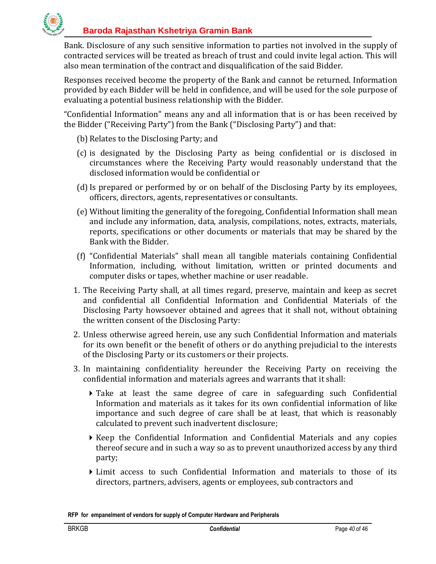

Bank. Disclosure of any such sensitive information to parties not involved in the supply of contracted services will be treated as breach of trust and could invite legal action. This will also mean termination of the contract and disqualification of the said Bidder.

Responses received become the property of the Bank and cannot be returned. Information provided by each Bidder will be held in confidence, and will be used for the sole purpose of evaluating a potential business relationship with the Bidder.

"Confidential Information" means any and all information that is or has been received by the Bidder ("Receiving Party") from the Bank ("Disclosing Party") and that:

- (b) Relates to the Disclosing Party; and
- (c) is designated by the Disclosing Party as being confidential or is disclosed in circumstances where the Receiving Party would reasonably understand that the disclosed information would be confidential or
- (d) Is prepared or performed by or on behalf of the Disclosing Party by its employees, officers, directors, agents, representatives or consultants.
- (e) Without limiting the generality of the foregoing, Confidential Information shall mean and include any information, data, analysis, compilations, notes, extracts, materials, reports, specifications or other documents or materials that may be shared by the Bank with the Bidder.
- (f) "Confidential Materials" shall mean all tangible materials containing Confidential Information, including, without limitation, written or printed documents and computer disks or tapes, whether machine or user readable.
- 1. The Receiving Party shall, at all times regard, preserve, maintain and keep as secret and confidential all Confidential Information and Confidential Materials of the Disclosing Party howsoever obtained and agrees that it shall not, without obtaining the written consent of the Disclosing Party:
- 2. Unless otherwise agreed herein, use any such Confidential Information and materials for its own benefit or the benefit of others or do anything prejudicial to the interests of the Disclosing Party or its customers or their projects.
- 3. In maintaining confidentiality hereunder the Receiving Party on receiving the confidential information and materials agrees and warrants that it shall:
	- Take at least the same degree of care in safeguarding such Confidential Information and materials as it takes for its own confidential information of like importance and such degree of care shall be at least, that which is reasonably calculated to prevent such inadvertent disclosure;
	- $\triangleright$  Keep the Confidential Information and Confidential Materials and any copies thereof secure and in such a way so as to prevent unauthorized access by any third party;
	- $\blacktriangleright$  Limit access to such Confidential Information and materials to those of its directors, partners, advisers, agents or employees, sub contractors and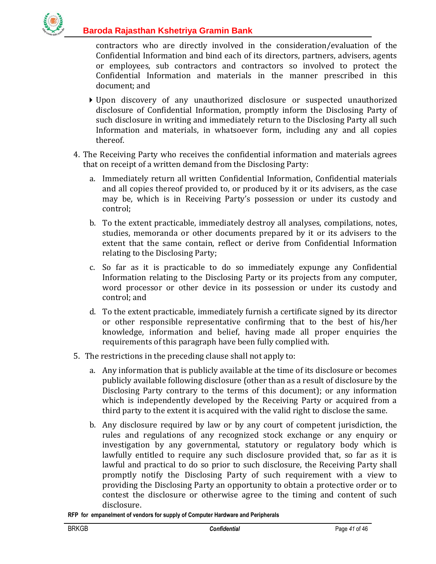

contractors who are directly involved in the consideration/evaluation of the Confidential Information and bind each of its directors, partners, advisers, agents or employees, sub contractors and contractors so involved to protect the Confidential Information and materials in the manner prescribed in this document; and

- Upon discovery of any unauthorized disclosure or suspected unauthorized disclosure of Confidential Information, promptly inform the Disclosing Party of such disclosure in writing and immediately return to the Disclosing Party all such Information and materials, in whatsoever form, including any and all copies thereof.
- 4. The Receiving Party who receives the confidential information and materials agrees that on receipt of a written demand from the Disclosing Party:
	- a. Immediately return all written Confidential Information, Confidential materials and all copies thereof provided to, or produced by it or its advisers, as the case may be, which is in Receiving Party's possession or under its custody and control;
	- b. To the extent practicable, immediately destroy all analyses, compilations, notes, studies, memoranda or other documents prepared by it or its advisers to the extent that the same contain, reflect or derive from Confidential Information relating to the Disclosing Party;
	- c. So far as it is practicable to do so immediately expunge any Confidential Information relating to the Disclosing Party or its projects from any computer, word processor or other device in its possession or under its custody and control; and
	- d. To the extent practicable, immediately furnish a certificate signed by its director or other responsible representative confirming that to the best of his/her knowledge, information and belief, having made all proper enquiries the requirements of this paragraph have been fully complied with.
- 5. The restrictions in the preceding clause shall not apply to:
	- a. Any information that is publicly available at the time of its disclosure or becomes publicly available following disclosure (other than as a result of disclosure by the Disclosing Party contrary to the terms of this document); or any information which is independently developed by the Receiving Party or acquired from a third party to the extent it is acquired with the valid right to disclose the same.
	- b. Any disclosure required by law or by any court of competent jurisdiction, the rules and regulations of any recognized stock exchange or any enquiry or investigation by any governmental, statutory or regulatory body which is lawfully entitled to require any such disclosure provided that, so far as it is lawful and practical to do so prior to such disclosure, the Receiving Party shall promptly notify the Disclosing Party of such requirement with a view to providing the Disclosing Party an opportunity to obtain a protective order or to contest the disclosure or otherwise agree to the timing and content of such disclosure.

**RFP for empanelment of vendors for supply of Computer Hardware and Peripherals**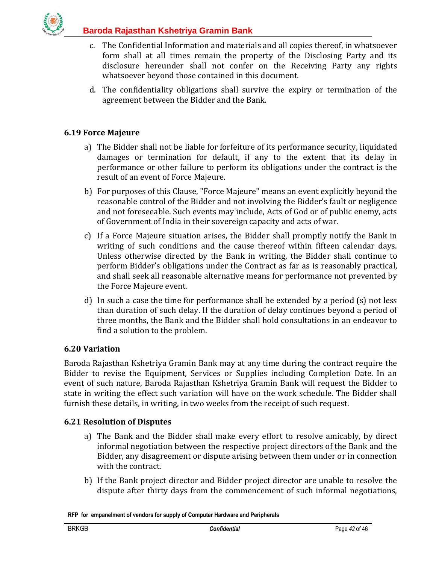

- c. The Confidential Information and materials and all copies thereof, in whatsoever form shall at all times remain the property of the Disclosing Party and its disclosure hereunder shall not confer on the Receiving Party any rights whatsoever beyond those contained in this document.
- d. The confidentiality obligations shall survive the expiry or termination of the agreement between the Bidder and the Bank.

## <span id="page-41-0"></span>**6.19 Force Majeure**

- a) The Bidder shall not be liable for forfeiture of its performance security, liquidated damages or termination for default, if any to the extent that its delay in performance or other failure to perform its obligations under the contract is the result of an event of Force Majeure.
- b) For purposes of this Clause, "Force Majeure" means an event explicitly beyond the reasonable control of the Bidder and not involving the Bidder's fault or negligence and not foreseeable. Such events may include, Acts of God or of public enemy, acts of Government of India in their sovereign capacity and acts of war.
- c) If a Force Majeure situation arises, the Bidder shall promptly notify the Bank in writing of such conditions and the cause thereof within fifteen calendar days. Unless otherwise directed by the Bank in writing, the Bidder shall continue to perform Bidder's obligations under the Contract as far as is reasonably practical, and shall seek all reasonable alternative means for performance not prevented by the Force Majeure event.
- d) In such a case the time for performance shall be extended by a period (s) not less than duration of such delay. If the duration of delay continues beyond a period of three months, the Bank and the Bidder shall hold consultations in an endeavor to find a solution to the problem.

#### <span id="page-41-1"></span>**6.20 Variation**

Baroda Rajasthan Kshetriya Gramin Bank may at any time during the contract require the Bidder to revise the Equipment, Services or Supplies including Completion Date. In an event of such nature, Baroda Rajasthan Kshetriya Gramin Bank will request the Bidder to state in writing the effect such variation will have on the work schedule. The Bidder shall furnish these details, in writing, in two weeks from the receipt of such request.

#### <span id="page-41-2"></span>**6.21 Resolution of Disputes**

- a) The Bank and the Bidder shall make every effort to resolve amicably, by direct informal negotiation between the respective project directors of the Bank and the Bidder, any disagreement or dispute arising between them under or in connection with the contract.
- b) If the Bank project director and Bidder project director are unable to resolve the dispute after thirty days from the commencement of such informal negotiations,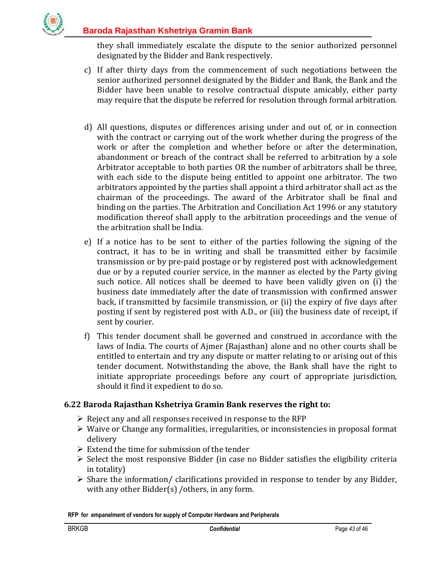

they shall immediately escalate the dispute to the senior authorized personnel designated by the Bidder and Bank respectively.

- c) If after thirty days from the commencement of such negotiations between the senior authorized personnel designated by the Bidder and Bank, the Bank and the Bidder have been unable to resolve contractual dispute amicably, either party may require that the dispute be referred for resolution through formal arbitration.
- d) All questions, disputes or differences arising under and out of, or in connection with the contract or carrying out of the work whether during the progress of the work or after the completion and whether before or after the determination, abandonment or breach of the contract shall be referred to arbitration by a sole Arbitrator acceptable to both parties OR the number of arbitrators shall be three, with each side to the dispute being entitled to appoint one arbitrator. The two arbitrators appointed by the parties shall appoint a third arbitrator shall act as the chairman of the proceedings. The award of the Arbitrator shall be final and binding on the parties. The Arbitration and Conciliation Act 1996 or any statutory modification thereof shall apply to the arbitration proceedings and the venue of the arbitration shall be India.
- e) If a notice has to be sent to either of the parties following the signing of the contract, it has to be in writing and shall be transmitted either by facsimile transmission or by pre-paid postage or by registered post with acknowledgement due or by a reputed courier service, in the manner as elected by the Party giving such notice. All notices shall be deemed to have been validly given on (i) the business date immediately after the date of transmission with confirmed answer back, if transmitted by facsimile transmission, or (ii) the expiry of five days after posting if sent by registered post with A.D., or (iii) the business date of receipt, if sent by courier.
- f) This tender document shall be governed and construed in accordance with the laws of India. The courts of Ajmer (Rajasthan) alone and no other courts shall be entitled to entertain and try any dispute or matter relating to or arising out of this tender document. Notwithstanding the above, the Bank shall have the right to initiate appropriate proceedings before any court of appropriate jurisdiction, should it find it expedient to do so.

#### <span id="page-42-0"></span>**6.22 Baroda Rajasthan Kshetriya Gramin Bank reserves the right to:**

- $\triangleright$  Reject any and all responses received in response to the RFP
- $\triangleright$  Waive or Change any formalities, irregularities, or inconsistencies in proposal format delivery
- $\triangleright$  Extend the time for submission of the tender
- $\triangleright$  Select the most responsive Bidder (in case no Bidder satisfies the eligibility criteria in totality)
- $\triangleright$  Share the information/ clarifications provided in response to tender by any Bidder, with any other Bidder(s) / others, in any form.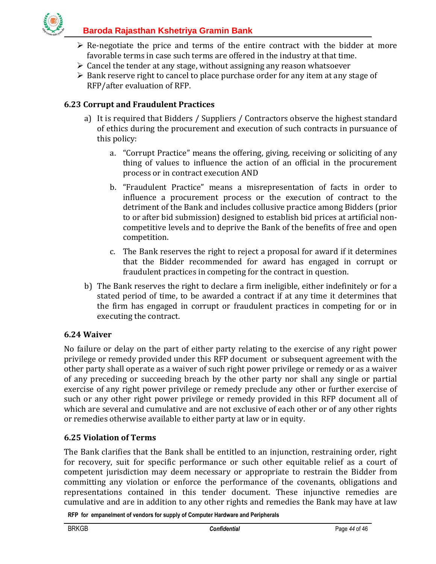

- $\triangleright$  Re-negotiate the price and terms of the entire contract with the bidder at more favorable terms in case such terms are offered in the industry at that time.
- $\triangleright$  Cancel the tender at any stage, without assigning any reason whatsoever
- $\triangleright$  Bank reserve right to cancel to place purchase order for any item at any stage of RFP/after evaluation of RFP.

## <span id="page-43-0"></span>**6.23 Corrupt and Fraudulent Practices**

- a) It is required that Bidders / Suppliers / Contractors observe the highest standard of ethics during the procurement and execution of such contracts in pursuance of this policy:
	- a. "Corrupt Practice" means the offering, giving, receiving or soliciting of any thing of values to influence the action of an official in the procurement process or in contract execution AND
	- b. "Fraudulent Practice" means a misrepresentation of facts in order to influence a procurement process or the execution of contract to the detriment of the Bank and includes collusive practice among Bidders (prior to or after bid submission) designed to establish bid prices at artificial noncompetitive levels and to deprive the Bank of the benefits of free and open competition.
	- c. The Bank reserves the right to reject a proposal for award if it determines that the Bidder recommended for award has engaged in corrupt or fraudulent practices in competing for the contract in question.
- b) The Bank reserves the right to declare a firm ineligible, either indefinitely or for a stated period of time, to be awarded a contract if at any time it determines that the firm has engaged in corrupt or fraudulent practices in competing for or in executing the contract.

#### <span id="page-43-1"></span>**6.24 Waiver**

No failure or delay on the part of either party relating to the exercise of any right power privilege or remedy provided under this RFP document or subsequent agreement with the other party shall operate as a waiver of such right power privilege or remedy or as a waiver of any preceding or succeeding breach by the other party nor shall any single or partial exercise of any right power privilege or remedy preclude any other or further exercise of such or any other right power privilege or remedy provided in this RFP document all of which are several and cumulative and are not exclusive of each other or of any other rights or remedies otherwise available to either party at law or in equity.

#### <span id="page-43-2"></span>**6.25 Violation of Terms**

The Bank clarifies that the Bank shall be entitled to an injunction, restraining order, right for recovery, suit for specific performance or such other equitable relief as a court of competent jurisdiction may deem necessary or appropriate to restrain the Bidder from committing any violation or enforce the performance of the covenants, obligations and representations contained in this tender document. These injunctive remedies are cumulative and are in addition to any other rights and remedies the Bank may have at law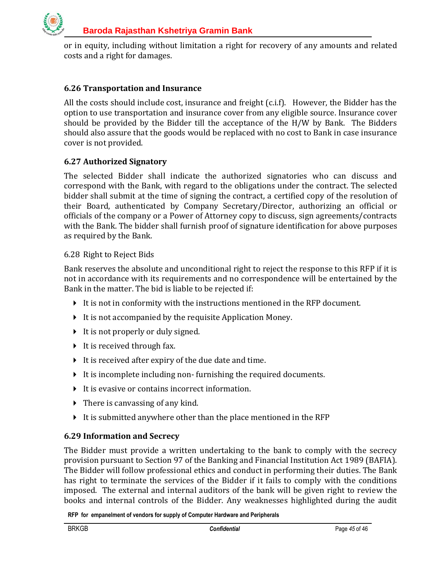

or in equity, including without limitation a right for recovery of any amounts and related costs and a right for damages.

## <span id="page-44-0"></span>**6.26 Transportation and Insurance**

All the costs should include cost, insurance and freight (c.i.f). However, the Bidder has the option to use transportation and insurance cover from any eligible source. Insurance cover should be provided by the Bidder till the acceptance of the H/W by Bank. The Bidders should also assure that the goods would be replaced with no cost to Bank in case insurance cover is not provided.

#### <span id="page-44-1"></span>**6.27 Authorized Signatory**

The selected Bidder shall indicate the authorized signatories who can discuss and correspond with the Bank, with regard to the obligations under the contract. The selected bidder shall submit at the time of signing the contract, a certified copy of the resolution of their Board, authenticated by Company Secretary/Director, authorizing an official or officials of the company or a Power of Attorney copy to discuss, sign agreements/contracts with the Bank. The bidder shall furnish proof of signature identification for above purposes as required by the Bank.

#### <span id="page-44-2"></span>6.28 Right to Reject Bids

Bank reserves the absolute and unconditional right to reject the response to this RFP if it is not in accordance with its requirements and no correspondence will be entertained by the Bank in the matter. The bid is liable to be rejected if:

- $\blacktriangleright$  It is not in conformity with the instructions mentioned in the RFP document.
- It is not accompanied by the requisite Application Money.
- $\triangleright$  It is not properly or duly signed.
- $\triangleright$  It is received through fax.
- It is received after expiry of the due date and time.
- It is incomplete including non-furnishing the required documents.
- $\blacktriangleright$  It is evasive or contains incorrect information.
- $\triangleright$  There is canvassing of any kind.
- It is submitted anywhere other than the place mentioned in the RFP

#### <span id="page-44-3"></span>**6.29 Information and Secrecy**

The Bidder must provide a written undertaking to the bank to comply with the secrecy provision pursuant to Section 97 of the Banking and Financial Institution Act 1989 (BAFIA). The Bidder will follow professional ethics and conduct in performing their duties. The Bank has right to terminate the services of the Bidder if it fails to comply with the conditions imposed. The external and internal auditors of the bank will be given right to review the books and internal controls of the Bidder. Any weaknesses highlighted during the audit